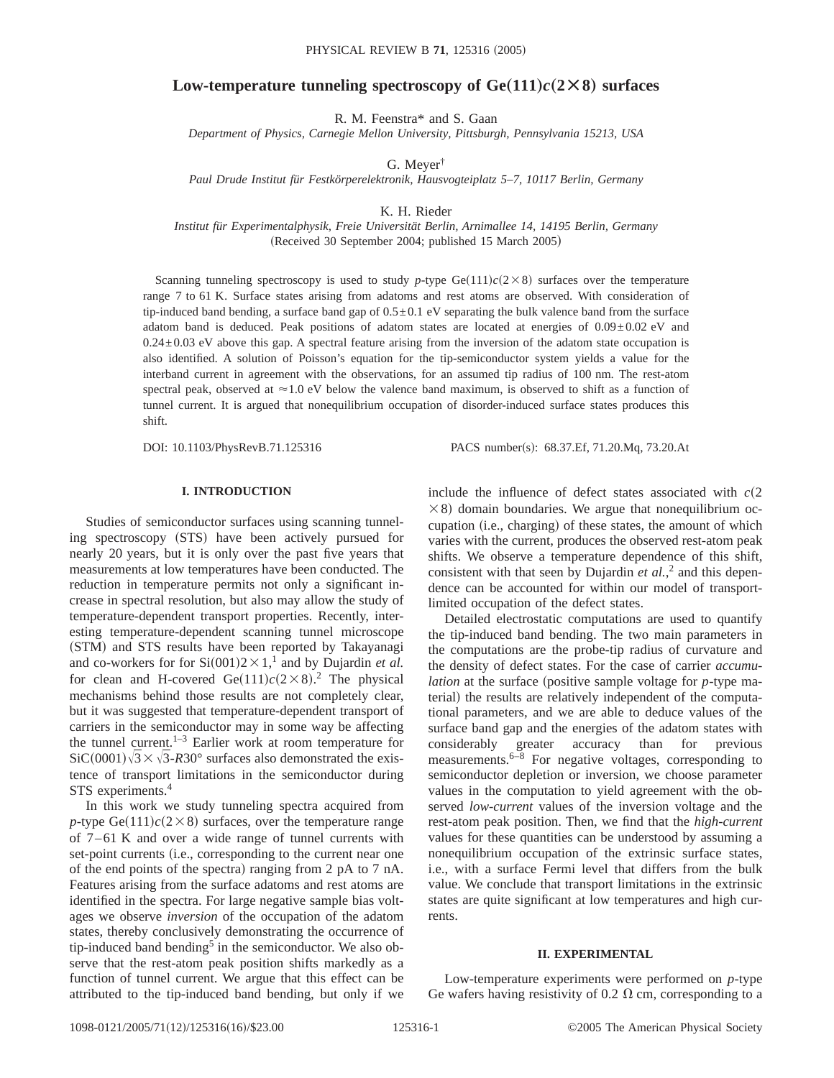# **Low-temperature tunneling spectroscopy of**  $Ge(111)c(2\times8)$  **surfaces**

R. M. Feenstra\* and S. Gaan

*Department of Physics, Carnegie Mellon University, Pittsburgh, Pennsylvania 15213, USA*

G. Meyer†

*Paul Drude Institut für Festkörperelektronik, Hausvogteiplatz 5–7, 10117 Berlin, Germany*

K. H. Rieder

*Institut für Experimentalphysik, Freie Universität Berlin, Arnimallee 14, 14195 Berlin, Germany*  $(Received 30 September 2004; published 15 March 2005)$ 

Scanning tunneling spectroscopy is used to study *p*-type Ge $(111)c(2\times8)$  surfaces over the temperature range 7 to 61 K. Surface states arising from adatoms and rest atoms are observed. With consideration of tip-induced band bending, a surface band gap of  $0.5\pm0.1$  eV separating the bulk valence band from the surface adatom band is deduced. Peak positions of adatom states are located at energies of  $0.09\pm0.02$  eV and 0.24±0.03 eV above this gap. A spectral feature arising from the inversion of the adatom state occupation is also identified. A solution of Poisson's equation for the tip-semiconductor system yields a value for the interband current in agreement with the observations, for an assumed tip radius of 100 nm. The rest-atom spectral peak, observed at  $\approx$  1.0 eV below the valence band maximum, is observed to shift as a function of tunnel current. It is argued that nonequilibrium occupation of disorder-induced surface states produces this shift.

DOI: 10.1103/PhysRevB.71.125316 PACS number(s): 68.37.Ef, 71.20.Mq, 73.20.At

### **I. INTRODUCTION**

Studies of semiconductor surfaces using scanning tunneling spectroscopy (STS) have been actively pursued for nearly 20 years, but it is only over the past five years that measurements at low temperatures have been conducted. The reduction in temperature permits not only a significant increase in spectral resolution, but also may allow the study of temperature-dependent transport properties. Recently, interesting temperature-dependent scanning tunnel microscope (STM) and STS results have been reported by Takayanagi and co-workers for for  $Si(001)2 \times 1$ ,<sup>1</sup> and by Dujardin *et al.* for clean and H-covered Ge $(111)c(2\times8)^2$ . The physical mechanisms behind those results are not completely clear, but it was suggested that temperature-dependent transport of carriers in the semiconductor may in some way be affecting the tunnel current.<sup>1–3</sup> Earlier work at room temperature for  $SiC(0001)\sqrt{3}\times\sqrt{3}$ -*R*30° surfaces also demonstrated the existence of transport limitations in the semiconductor during STS experiments.<sup>4</sup>

In this work we study tunneling spectra acquired from *p*-type Ge(111) $c(2 \times 8)$  surfaces, over the temperature range of 7–61 K and over a wide range of tunnel currents with set-point currents (i.e., corresponding to the current near one of the end points of the spectra) ranging from  $2$  pA to  $7$  nA. Features arising from the surface adatoms and rest atoms are identified in the spectra. For large negative sample bias voltages we observe *inversion* of the occupation of the adatom states, thereby conclusively demonstrating the occurrence of tip-induced band bending<sup>5</sup> in the semiconductor. We also observe that the rest-atom peak position shifts markedly as a function of tunnel current. We argue that this effect can be attributed to the tip-induced band bending, but only if we include the influence of defect states associated with  $c(2)$  $\times$ 8) domain boundaries. We argue that nonequilibrium occupation (i.e., charging) of these states, the amount of which varies with the current, produces the observed rest-atom peak shifts. We observe a temperature dependence of this shift, consistent with that seen by Dujardin *et al.*, <sup>2</sup> and this dependence can be accounted for within our model of transportlimited occupation of the defect states.

Detailed electrostatic computations are used to quantify the tip-induced band bending. The two main parameters in the computations are the probe-tip radius of curvature and the density of defect states. For the case of carrier *accumulation* at the surface (positive sample voltage for *p*-type material) the results are relatively independent of the computational parameters, and we are able to deduce values of the surface band gap and the energies of the adatom states with considerably greater accuracy than for previous measurements. $6-8$  For negative voltages, corresponding to semiconductor depletion or inversion, we choose parameter values in the computation to yield agreement with the observed *low-current* values of the inversion voltage and the rest-atom peak position. Then, we find that the *high-current* values for these quantities can be understood by assuming a nonequilibrium occupation of the extrinsic surface states, i.e., with a surface Fermi level that differs from the bulk value. We conclude that transport limitations in the extrinsic states are quite significant at low temperatures and high currents.

#### **II. EXPERIMENTAL**

Low-temperature experiments were performed on *p*-type Ge wafers having resistivity of 0.2  $\Omega$  cm, corresponding to a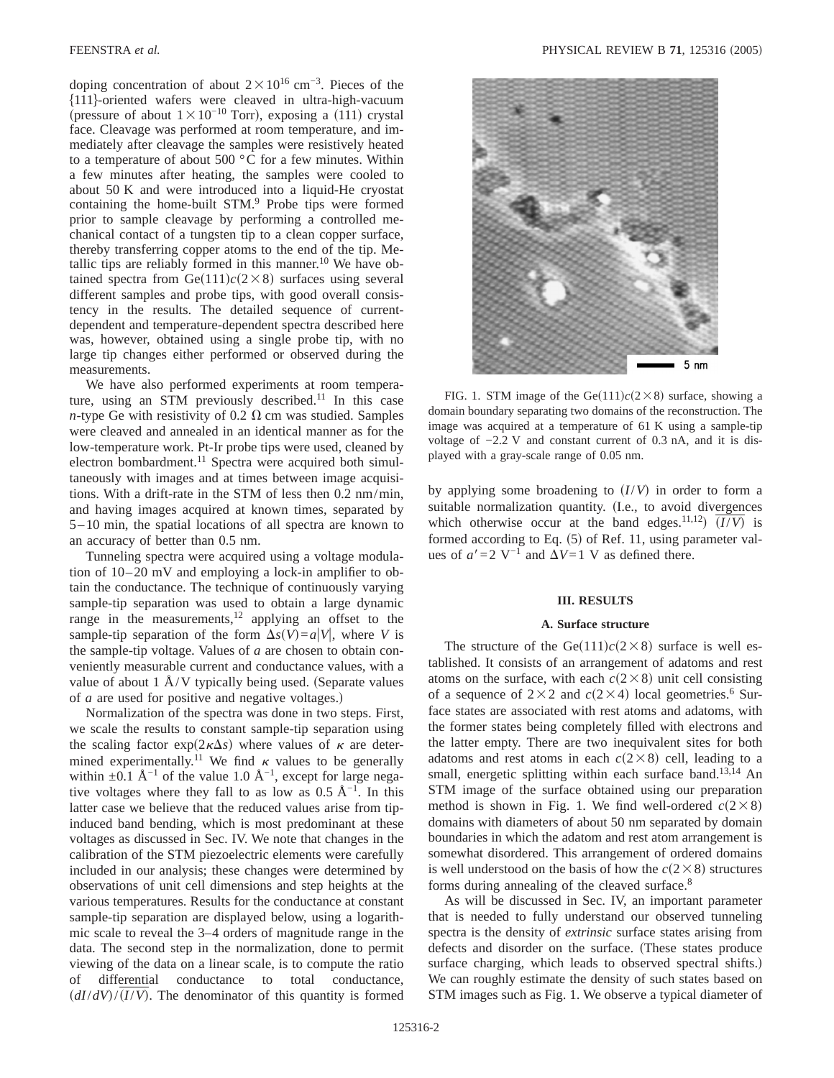doping concentration of about  $2 \times 10^{16}$  cm<sup>-3</sup>. Pieces of the {111}-oriented wafers were cleaved in ultra-high-vacuum (pressure of about  $1 \times 10^{-10}$  Torr), exposing a (111) crystal face. Cleavage was performed at room temperature, and immediately after cleavage the samples were resistively heated to a temperature of about 500  $^{\circ}$ C for a few minutes. Within a few minutes after heating, the samples were cooled to about 50 K and were introduced into a liquid-He cryostat containing the home-built STM.<sup>9</sup> Probe tips were formed prior to sample cleavage by performing a controlled mechanical contact of a tungsten tip to a clean copper surface, thereby transferring copper atoms to the end of the tip. Metallic tips are reliably formed in this manner.<sup>10</sup> We have obtained spectra from  $Ge(111)c(2\times8)$  surfaces using several different samples and probe tips, with good overall consistency in the results. The detailed sequence of currentdependent and temperature-dependent spectra described here was, however, obtained using a single probe tip, with no large tip changes either performed or observed during the measurements.

We have also performed experiments at room temperature, using an STM previously described.<sup>11</sup> In this case *n*-type Ge with resistivity of 0.2  $\Omega$  cm was studied. Samples were cleaved and annealed in an identical manner as for the low-temperature work. Pt-Ir probe tips were used, cleaned by electron bombardment.<sup>11</sup> Spectra were acquired both simultaneously with images and at times between image acquisitions. With a drift-rate in the STM of less then 0.2 nm/min, and having images acquired at known times, separated by 5–10 min, the spatial locations of all spectra are known to an accuracy of better than 0.5 nm.

Tunneling spectra were acquired using a voltage modulation of 10–20 mV and employing a lock-in amplifier to obtain the conductance. The technique of continuously varying sample-tip separation was used to obtain a large dynamic range in the measurements,<sup>12</sup> applying an offset to the sample-tip separation of the form  $\Delta s(V) = a|V|$ , where *V* is the sample-tip voltage. Values of *a* are chosen to obtain conveniently measurable current and conductance values, with a value of about 1  $\AA$ /V typically being used. (Separate values of  $a$  are used for positive and negative voltages.)

Normalization of the spectra was done in two steps. First, we scale the results to constant sample-tip separation using the scaling factor  $exp(2\kappa\Delta s)$  where values of  $\kappa$  are determined experimentally.<sup>11</sup> We find  $\kappa$  values to be generally within  $\pm 0.1$  Å<sup>-1</sup> of the value 1.0 Å<sup>-1</sup>, except for large negative voltages where they fall to as low as  $0.5 \text{ Å}^{-1}$ . In this latter case we believe that the reduced values arise from tipinduced band bending, which is most predominant at these voltages as discussed in Sec. IV. We note that changes in the calibration of the STM piezoelectric elements were carefully included in our analysis; these changes were determined by observations of unit cell dimensions and step heights at the various temperatures. Results for the conductance at constant sample-tip separation are displayed below, using a logarithmic scale to reveal the 3–4 orders of magnitude range in the data. The second step in the normalization, done to permit viewing of the data on a linear scale, is to compute the ratio of differential conductance to total conductance,  $\frac{dI}{dV}$ / $\frac{I}{V}$ . The denominator of this quantity is formed



FIG. 1. STM image of the Ge $(111)c(2\times8)$  surface, showing a domain boundary separating two domains of the reconstruction. The image was acquired at a temperature of 61 K using a sample-tip voltage of −2.2 V and constant current of 0.3 nA, and it is displayed with a gray-scale range of 0.05 nm.

by applying some broadening to  $(I/V)$  in order to form a suitable normalization quantity. (I.e., to avoid divergences which otherwise occur at the band edges.<sup>11,12</sup>)  $\overline{(I/V)}$  is formed according to Eq.  $(5)$  of Ref. 11, using parameter values of  $a' = 2$  V<sup>-1</sup> and  $\Delta V = 1$  V as defined there.

## **III. RESULTS**

#### **A. Surface structure**

The structure of the Ge $(111)c(2\times8)$  surface is well established. It consists of an arrangement of adatoms and rest atoms on the surface, with each  $c(2\times8)$  unit cell consisting of a sequence of  $2\times2$  and  $c(2\times4)$  local geometries.<sup>6</sup> Surface states are associated with rest atoms and adatoms, with the former states being completely filled with electrons and the latter empty. There are two inequivalent sites for both adatoms and rest atoms in each  $c(2\times8)$  cell, leading to a small, energetic splitting within each surface band.<sup>13,14</sup> An STM image of the surface obtained using our preparation method is shown in Fig. 1. We find well-ordered  $c(2\times8)$ domains with diameters of about 50 nm separated by domain boundaries in which the adatom and rest atom arrangement is somewhat disordered. This arrangement of ordered domains is well understood on the basis of how the  $c(2\times8)$  structures forms during annealing of the cleaved surface.8

As will be discussed in Sec. IV, an important parameter that is needed to fully understand our observed tunneling spectra is the density of *extrinsic* surface states arising from defects and disorder on the surface. (These states produce surface charging, which leads to observed spectral shifts.) We can roughly estimate the density of such states based on STM images such as Fig. 1. We observe a typical diameter of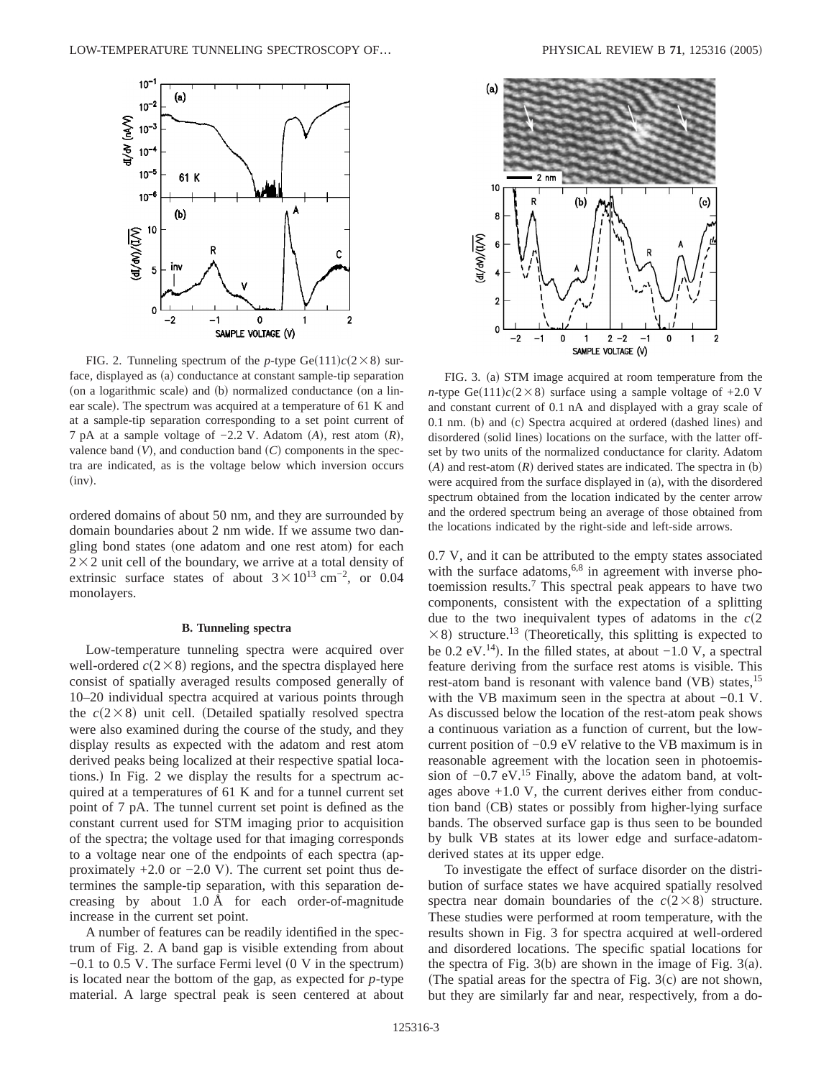

FIG. 2. Tunneling spectrum of the *p*-type Ge $(111)c(2\times8)$  surface, displayed as (a) conductance at constant sample-tip separation (on a logarithmic scale) and  $(b)$  normalized conductance (on a linear scale). The spectrum was acquired at a temperature of 61 K and at a sample-tip separation corresponding to a set point current of 7 pA at a sample voltage of  $-2.2$  V. Adatom  $(A)$ , rest atom  $(R)$ , valence band  $(V)$ , and conduction band  $(C)$  components in the spectra are indicated, as is the voltage below which inversion occurs  $(inv)$ .

ordered domains of about 50 nm, and they are surrounded by domain boundaries about 2 nm wide. If we assume two dangling bond states (one adatom and one rest atom) for each  $2\times2$  unit cell of the boundary, we arrive at a total density of extrinsic surface states of about  $3 \times 10^{13}$  cm<sup>-2</sup>, or 0.04 monolayers.

#### **B. Tunneling spectra**

Low-temperature tunneling spectra were acquired over well-ordered  $c(2\times8)$  regions, and the spectra displayed here consist of spatially averaged results composed generally of 10–20 individual spectra acquired at various points through the  $c(2\times8)$  unit cell. (Detailed spatially resolved spectra were also examined during the course of the study, and they display results as expected with the adatom and rest atom derived peaks being localized at their respective spatial locations.) In Fig. 2 we display the results for a spectrum acquired at a temperatures of 61 K and for a tunnel current set point of 7 pA. The tunnel current set point is defined as the constant current used for STM imaging prior to acquisition of the spectra; the voltage used for that imaging corresponds to a voltage near one of the endpoints of each spectra (approximately  $+2.0$  or  $-2.0$  V). The current set point thus determines the sample-tip separation, with this separation decreasing by about 1.0 Å for each order-of-magnitude increase in the current set point.

A number of features can be readily identified in the spectrum of Fig. 2. A band gap is visible extending from about  $-0.1$  to 0.5 V. The surface Fermi level (0 V in the spectrum) is located near the bottom of the gap, as expected for *p*-type material. A large spectral peak is seen centered at about



FIG. 3. (a) STM image acquired at room temperature from the *n*-type Ge(111) $c(2 \times 8)$  surface using a sample voltage of +2.0 V and constant current of 0.1 nA and displayed with a gray scale of  $0.1$  nm. (b) and (c) Spectra acquired at ordered (dashed lines) and disordered (solid lines) locations on the surface, with the latter offset by two units of the normalized conductance for clarity. Adatom  $(A)$  and rest-atom  $(R)$  derived states are indicated. The spectra in  $(b)$ were acquired from the surface displayed in  $(a)$ , with the disordered spectrum obtained from the location indicated by the center arrow and the ordered spectrum being an average of those obtained from the locations indicated by the right-side and left-side arrows.

0.7 V, and it can be attributed to the empty states associated with the surface adatoms,  $6,8$  in agreement with inverse photoemission results.7 This spectral peak appears to have two components, consistent with the expectation of a splitting due to the two inequivalent types of adatoms in the  $c(2)$  $\times$ 8) structure.<sup>13</sup> (Theoretically, this splitting is expected to be 0.2 eV.<sup>14</sup>). In the filled states, at about  $-1.0$  V, a spectral feature deriving from the surface rest atoms is visible. This rest-atom band is resonant with valence band  $(VB)$  states,<sup>15</sup> with the VB maximum seen in the spectra at about −0.1 V. As discussed below the location of the rest-atom peak shows a continuous variation as a function of current, but the lowcurrent position of −0.9 eV relative to the VB maximum is in reasonable agreement with the location seen in photoemission of  $-0.7$  eV.<sup>15</sup> Finally, above the adatom band, at voltages above  $+1.0$  V, the current derives either from conduction band (CB) states or possibly from higher-lying surface bands. The observed surface gap is thus seen to be bounded by bulk VB states at its lower edge and surface-adatomderived states at its upper edge.

To investigate the effect of surface disorder on the distribution of surface states we have acquired spatially resolved spectra near domain boundaries of the  $c(2\times8)$  structure. These studies were performed at room temperature, with the results shown in Fig. 3 for spectra acquired at well-ordered and disordered locations. The specific spatial locations for the spectra of Fig.  $3(b)$  are shown in the image of Fig.  $3(a)$ . (The spatial areas for the spectra of Fig.  $3(c)$  are not shown, but they are similarly far and near, respectively, from a do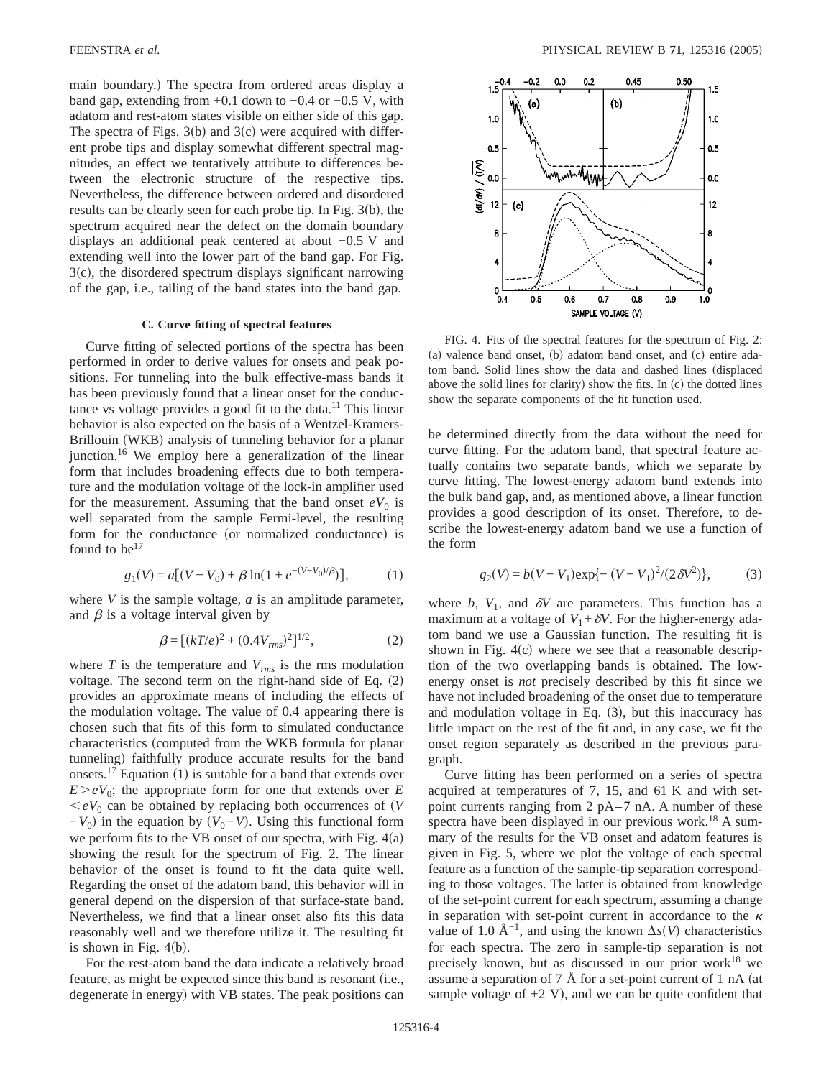main boundary.) The spectra from ordered areas display a band gap, extending from  $+0.1$  down to  $-0.4$  or  $-0.5$  V, with adatom and rest-atom states visible on either side of this gap. The spectra of Figs.  $3(b)$  and  $3(c)$  were acquired with different probe tips and display somewhat different spectral magnitudes, an effect we tentatively attribute to differences between the electronic structure of the respective tips. Nevertheless, the difference between ordered and disordered results can be clearly seen for each probe tip. In Fig.  $3(b)$ , the spectrum acquired near the defect on the domain boundary displays an additional peak centered at about −0.5 V and extending well into the lower part of the band gap. For Fig.  $3(c)$ , the disordered spectrum displays significant narrowing of the gap, i.e., tailing of the band states into the band gap.

### **C. Curve fitting of spectral features**

Curve fitting of selected portions of the spectra has been performed in order to derive values for onsets and peak positions. For tunneling into the bulk effective-mass bands it has been previously found that a linear onset for the conductance vs voltage provides a good fit to the data.<sup>11</sup> This linear behavior is also expected on the basis of a Wentzel-Kramers-Brillouin (WKB) analysis of tunneling behavior for a planar junction.16 We employ here a generalization of the linear form that includes broadening effects due to both temperature and the modulation voltage of the lock-in amplifier used for the measurement. Assuming that the band onset  $eV_0$  is well separated from the sample Fermi-level, the resulting form for the conductance (or normalized conductance) is found to be $17$ 

$$
g_1(V) = a[(V - V_0) + \beta \ln(1 + e^{-(V - V_0)/\beta})], \tag{1}
$$

where *V* is the sample voltage, *a* is an amplitude parameter, and  $\beta$  is a voltage interval given by

$$
\beta = [(kT/e)^2 + (0.4V_{rms})^2]^{1/2},\tag{2}
$$

where  $T$  is the temperature and  $V_{rms}$  is the rms modulation voltage. The second term on the right-hand side of Eq.  $(2)$ provides an approximate means of including the effects of the modulation voltage. The value of 0.4 appearing there is chosen such that fits of this form to simulated conductance characteristics (computed from the WKB formula for planar tunneling) faithfully produce accurate results for the band onsets.<sup>17</sup> Equation (1) is suitable for a band that extends over  $E > eV_0$ ; the appropriate form for one that extends over *E*  $\langle eV_0 \rangle$  can be obtained by replacing both occurrences of *V*  $-V_0$ ) in the equation by  $(V_0 - V)$ . Using this functional form we perform fits to the VB onset of our spectra, with Fig.  $4(a)$ showing the result for the spectrum of Fig. 2. The linear behavior of the onset is found to fit the data quite well. Regarding the onset of the adatom band, this behavior will in general depend on the dispersion of that surface-state band. Nevertheless, we find that a linear onset also fits this data reasonably well and we therefore utilize it. The resulting fit is shown in Fig.  $4(b)$ .

For the rest-atom band the data indicate a relatively broad feature, as might be expected since this band is resonant (i.e., degenerate in energy) with VB states. The peak positions can



FIG. 4. Fits of the spectral features for the spectrum of Fig. 2: (a) valence band onset, (b) adatom band onset, and  $(c)$  entire adatom band. Solid lines show the data and dashed lines (displaced above the solid lines for clarity) show the fits. In  $(c)$  the dotted lines show the separate components of the fit function used.

be determined directly from the data without the need for curve fitting. For the adatom band, that spectral feature actually contains two separate bands, which we separate by curve fitting. The lowest-energy adatom band extends into the bulk band gap, and, as mentioned above, a linear function provides a good description of its onset. Therefore, to describe the lowest-energy adatom band we use a function of the form

$$
g_2(V) = b(V - V_1) \exp\{-(V - V_1)^2/(2\delta V^2)\},\tag{3}
$$

where  $b$ ,  $V_1$ , and  $\delta V$  are parameters. This function has a maximum at a voltage of  $V_1 + \delta V$ . For the higher-energy adatom band we use a Gaussian function. The resulting fit is shown in Fig.  $4(c)$  where we see that a reasonable description of the two overlapping bands is obtained. The lowenergy onset is *not* precisely described by this fit since we have not included broadening of the onset due to temperature and modulation voltage in Eq.  $(3)$ , but this inaccuracy has little impact on the rest of the fit and, in any case, we fit the onset region separately as described in the previous paragraph.

Curve fitting has been performed on a series of spectra acquired at temperatures of 7, 15, and 61 K and with setpoint currents ranging from 2 pA–7 nA. A number of these spectra have been displayed in our previous work.<sup>18</sup> A summary of the results for the VB onset and adatom features is given in Fig. 5, where we plot the voltage of each spectral feature as a function of the sample-tip separation corresponding to those voltages. The latter is obtained from knowledge of the set-point current for each spectrum, assuming a change in separation with set-point current in accordance to the  $\kappa$ value of 1.0 Å<sup> $-1$ </sup>, and using the known  $\Delta s(V)$  characteristics for each spectra. The zero in sample-tip separation is not precisely known, but as discussed in our prior work $18$  we assume a separation of  $7 \text{ Å}$  for a set-point current of  $1 \text{ nA}$  (at sample voltage of  $+2$  V), and we can be quite confident that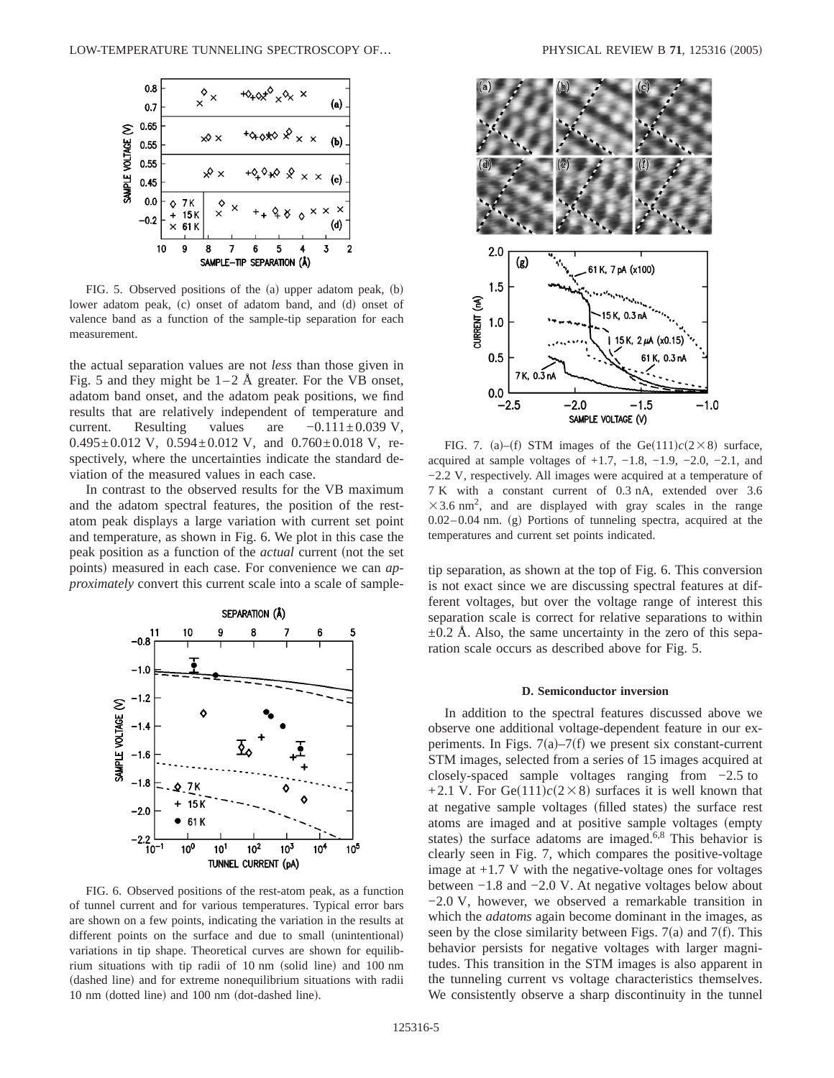

FIG. 5. Observed positions of the  $(a)$  upper adatom peak,  $(b)$ lower adatom peak, (c) onset of adatom band, and (d) onset of valence band as a function of the sample-tip separation for each measurement.

the actual separation values are not *less* than those given in Fig. 5 and they might be  $1-2$  Å greater. For the VB onset, adatom band onset, and the adatom peak positions, we find results that are relatively independent of temperature and current. Resulting values are  $-0.111 \pm 0.039$  V,  $0.495 \pm 0.012$  V,  $0.594 \pm 0.012$  V, and  $0.760 \pm 0.018$  V, respectively, where the uncertainties indicate the standard deviation of the measured values in each case.

In contrast to the observed results for the VB maximum and the adatom spectral features, the position of the restatom peak displays a large variation with current set point and temperature, as shown in Fig. 6. We plot in this case the peak position as a function of the *actual* current (not the set points) measured in each case. For convenience we can *approximately* convert this current scale into a scale of sample-



FIG. 6. Observed positions of the rest-atom peak, as a function of tunnel current and for various temperatures. Typical error bars are shown on a few points, indicating the variation in the results at different points on the surface and due to small (unintentional) variations in tip shape. Theoretical curves are shown for equilibrium situations with tip radii of 10 nm (solid line) and 100 nm (dashed line) and for extreme nonequilibrium situations with radii 10 nm (dotted line) and 100 nm (dot-dashed line).



FIG. 7. (a)–(f) STM images of the Ge $(111)c(2\times8)$  surface, acquired at sample voltages of  $+1.7, -1.8, -1.9, -2.0, -2.1,$  and −2.2 V, respectively. All images were acquired at a temperature of 7 K with a constant current of 0.3 nA, extended over 3.6  $\times$  3.6 nm<sup>2</sup>, and are displayed with gray scales in the range  $0.02-0.04$  nm. (g) Portions of tunneling spectra, acquired at the temperatures and current set points indicated.

tip separation, as shown at the top of Fig. 6. This conversion is not exact since we are discussing spectral features at different voltages, but over the voltage range of interest this separation scale is correct for relative separations to within  $\pm 0.2$  Å. Also, the same uncertainty in the zero of this separation scale occurs as described above for Fig. 5.

### **D. Semiconductor inversion**

In addition to the spectral features discussed above we observe one additional voltage-dependent feature in our experiments. In Figs.  $7(a) - 7(f)$  we present six constant-current STM images, selected from a series of 15 images acquired at closely-spaced sample voltages ranging from −2.5 to +2.1 V. For Ge $(111)c(2\times8)$  surfaces it is well known that at negative sample voltages (filled states) the surface rest atoms are imaged and at positive sample voltages (empty states) the surface adatoms are imaged.<sup>6,8</sup> This behavior is clearly seen in Fig. 7, which compares the positive-voltage image at  $+1.7$  V with the negative-voltage ones for voltages between −1.8 and −2.0 V. At negative voltages below about −2.0 V, however, we observed a remarkable transition in which the *adatoms* again become dominant in the images, as seen by the close similarity between Figs.  $7(a)$  and  $7(f)$ . This behavior persists for negative voltages with larger magnitudes. This transition in the STM images is also apparent in the tunneling current vs voltage characteristics themselves. We consistently observe a sharp discontinuity in the tunnel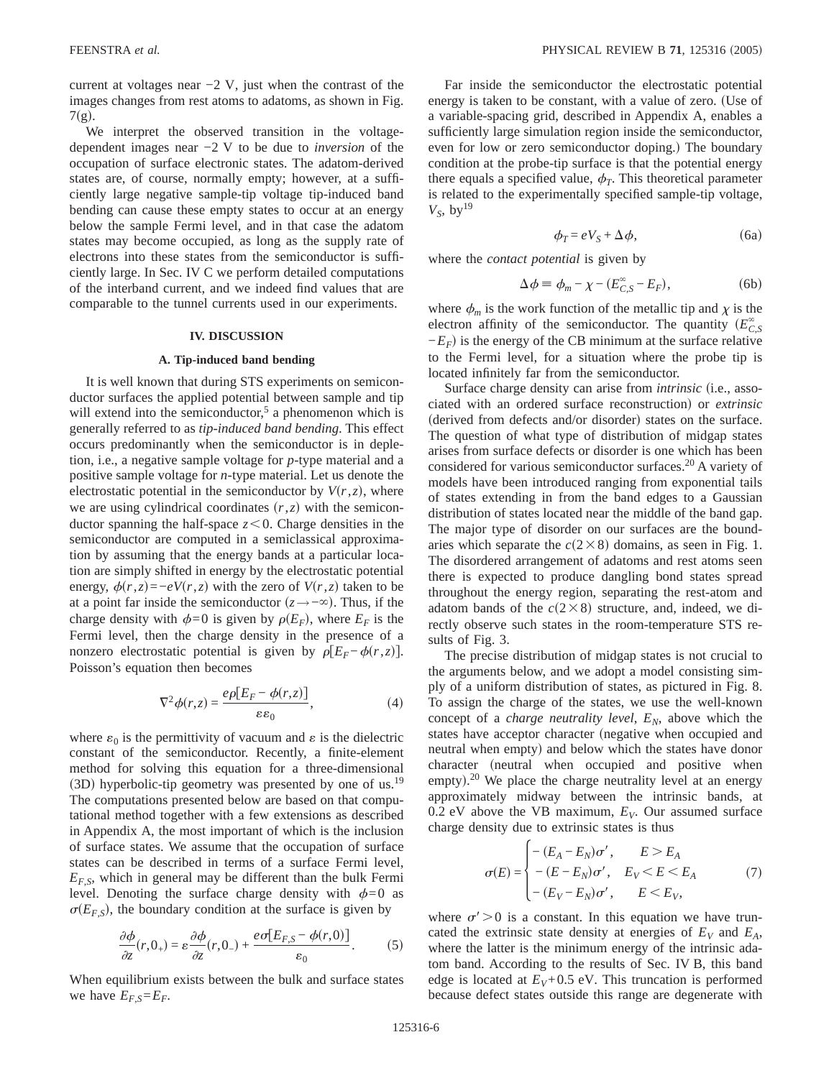current at voltages near −2 V, just when the contrast of the images changes from rest atoms to adatoms, as shown in Fig.  $7(g)$ .

We interpret the observed transition in the voltagedependent images near −2 V to be due to *inversion* of the occupation of surface electronic states. The adatom-derived states are, of course, normally empty; however, at a sufficiently large negative sample-tip voltage tip-induced band bending can cause these empty states to occur at an energy below the sample Fermi level, and in that case the adatom states may become occupied, as long as the supply rate of electrons into these states from the semiconductor is sufficiently large. In Sec. IV C we perform detailed computations of the interband current, and we indeed find values that are comparable to the tunnel currents used in our experiments.

### **IV. DISCUSSION**

## **A. Tip-induced band bending**

It is well known that during STS experiments on semiconductor surfaces the applied potential between sample and tip will extend into the semiconductor,<sup>5</sup> a phenomenon which is generally referred to as *tip-induced band bending*. This effect occurs predominantly when the semiconductor is in depletion, i.e., a negative sample voltage for *p*-type material and a positive sample voltage for *n*-type material. Let us denote the electrostatic potential in the semiconductor by  $V(r, z)$ , where we are using cylindrical coordinates  $(r, z)$  with the semiconductor spanning the half-space  $z < 0$ . Charge densities in the semiconductor are computed in a semiclassical approximation by assuming that the energy bands at a particular location are simply shifted in energy by the electrostatic potential energy,  $\phi(r, z) = -eV(r, z)$  with the zero of  $V(r, z)$  taken to be at a point far inside the semiconductor  $(z \rightarrow -\infty)$ . Thus, if the charge density with  $\phi=0$  is given by  $\rho(E_F)$ , where  $E_F$  is the Fermi level, then the charge density in the presence of a nonzero electrostatic potential is given by  $\rho[E_F-\phi(r,z)]$ . Poisson's equation then becomes

$$
\nabla^2 \phi(r,z) = \frac{e\rho[E_F - \phi(r,z)]}{\varepsilon \varepsilon_0},\tag{4}
$$

where  $\varepsilon_0$  is the permittivity of vacuum and  $\varepsilon$  is the dielectric constant of the semiconductor. Recently, a finite-element method for solving this equation for a three-dimensional  $(3D)$  hyperbolic-tip geometry was presented by one of us.<sup>19</sup> The computations presented below are based on that computational method together with a few extensions as described in Appendix A, the most important of which is the inclusion of surface states. We assume that the occupation of surface states can be described in terms of a surface Fermi level,  $E_{FS}$ , which in general may be different than the bulk Fermi level. Denoting the surface charge density with  $\phi=0$  as  $\sigma(E_{FS})$ , the boundary condition at the surface is given by

$$
\frac{\partial \phi}{\partial z}(r, 0_+) = \varepsilon \frac{\partial \phi}{\partial z}(r, 0_-) + \frac{e \sigma [E_{F,S} - \phi(r, 0)]}{\varepsilon_0}.
$$
 (5)

When equilibrium exists between the bulk and surface states we have  $E_{F,S} = E_F$ .

Far inside the semiconductor the electrostatic potential energy is taken to be constant, with a value of zero. (Use of a variable-spacing grid, described in Appendix A, enables a sufficiently large simulation region inside the semiconductor, even for low or zero semiconductor doping.) The boundary condition at the probe-tip surface is that the potential energy there equals a specified value,  $\phi_T$ . This theoretical parameter is related to the experimentally specified sample-tip voltage,  $V_S$ , by<sup>19</sup>

$$
\phi_T = eV_S + \Delta \phi, \tag{6a}
$$

where the *contact potential* is given by

$$
\Delta \phi \equiv \phi_m - \chi - (E_{C,S}^{\infty} - E_F), \tag{6b}
$$

where  $\phi_m$  is the work function of the metallic tip and  $\chi$  is the electron affinity of the semiconductor. The quantity  $(E_{C,S}^{\infty})$  $-E_F$ ) is the energy of the CB minimum at the surface relative to the Fermi level, for a situation where the probe tip is located infinitely far from the semiconductor.

Surface charge density can arise from *intrinsic* (i.e., associated with an ordered surface reconstruction) or *extrinsic* (derived from defects and/or disorder) states on the surface. The question of what type of distribution of midgap states arises from surface defects or disorder is one which has been considered for various semiconductor surfaces.<sup>20</sup> A variety of models have been introduced ranging from exponential tails of states extending in from the band edges to a Gaussian distribution of states located near the middle of the band gap. The major type of disorder on our surfaces are the boundaries which separate the  $c(2\times8)$  domains, as seen in Fig. 1. The disordered arrangement of adatoms and rest atoms seen there is expected to produce dangling bond states spread throughout the energy region, separating the rest-atom and adatom bands of the  $c(2\times8)$  structure, and, indeed, we directly observe such states in the room-temperature STS results of Fig. 3.

The precise distribution of midgap states is not crucial to the arguments below, and we adopt a model consisting simply of a uniform distribution of states, as pictured in Fig. 8. To assign the charge of the states, we use the well-known concept of a *charge neutrality level*,  $E_N$ , above which the states have acceptor character (negative when occupied and neutral when empty) and below which the states have donor character (neutral when occupied and positive when empty).<sup>20</sup> We place the charge neutrality level at an energy approximately midway between the intrinsic bands, at 0.2 eV above the VB maximum,  $E_V$ . Our assumed surface charge density due to extrinsic states is thus

$$
\sigma(E) = \begin{cases}\n-(E_A - E_N)\sigma', & E > E_A \\
-(E - E_N)\sigma', & E_V < E < E_A \\
-(E_V - E_N)\sigma', & E < E_V,\n\end{cases}\n\tag{7}
$$

where  $\sigma' > 0$  is a constant. In this equation we have truncated the extrinsic state density at energies of  $E_V$  and  $E_A$ , where the latter is the minimum energy of the intrinsic adatom band. According to the results of Sec. IV B, this band edge is located at  $E_V + 0.5$  eV. This truncation is performed because defect states outside this range are degenerate with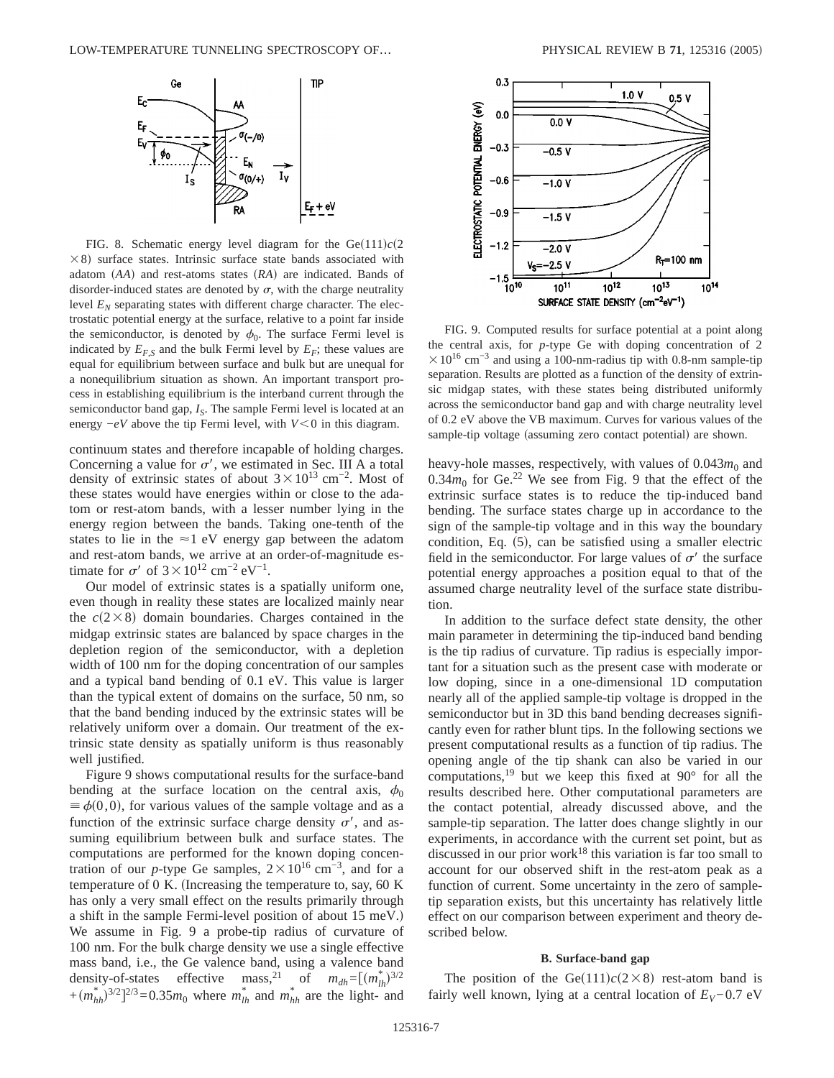

FIG. 8. Schematic energy level diagram for the  $Ge(111)c(2)$  $\times$ 8) surface states. Intrinsic surface state bands associated with adatom (AA) and rest-atoms states (RA) are indicated. Bands of disorder-induced states are denoted by  $\sigma$ , with the charge neutrality level  $E_N$  separating states with different charge character. The electrostatic potential energy at the surface, relative to a point far inside the semiconductor, is denoted by  $\phi_0$ . The surface Fermi level is indicated by  $E_{F,S}$  and the bulk Fermi level by  $E_F$ ; these values are equal for equilibrium between surface and bulk but are unequal for a nonequilibrium situation as shown. An important transport process in establishing equilibrium is the interband current through the semiconductor band gap,  $I<sub>S</sub>$ . The sample Fermi level is located at an energy  $-eV$  above the tip Fermi level, with *V*<0 in this diagram.

continuum states and therefore incapable of holding charges. Concerning a value for  $\sigma'$ , we estimated in Sec. III A a total density of extrinsic states of about  $3 \times 10^{13}$  cm<sup>-2</sup>. Most of these states would have energies within or close to the adatom or rest-atom bands, with a lesser number lying in the energy region between the bands. Taking one-tenth of the states to lie in the  $\approx$ 1 eV energy gap between the adatom and rest-atom bands, we arrive at an order-of-magnitude estimate for  $\sigma'$  of  $3 \times 10^{12}$  cm<sup>-2</sup> eV<sup>-1</sup>.

Our model of extrinsic states is a spatially uniform one, even though in reality these states are localized mainly near the  $c(2\times8)$  domain boundaries. Charges contained in the midgap extrinsic states are balanced by space charges in the depletion region of the semiconductor, with a depletion width of 100 nm for the doping concentration of our samples and a typical band bending of 0.1 eV. This value is larger than the typical extent of domains on the surface, 50 nm, so that the band bending induced by the extrinsic states will be relatively uniform over a domain. Our treatment of the extrinsic state density as spatially uniform is thus reasonably well justified.

Figure 9 shows computational results for the surface-band bending at the surface location on the central axis,  $\phi_0$  $\equiv \phi(0,0)$ , for various values of the sample voltage and as a function of the extrinsic surface charge density  $\sigma'$ , and assuming equilibrium between bulk and surface states. The computations are performed for the known doping concentration of our *p*-type Ge samples,  $2 \times 10^{16}$  cm<sup>-3</sup>, and for a temperature of 0 K. (Increasing the temperature to, say,  $60 \text{ K}$ has only a very small effect on the results primarily through a shift in the sample Fermi-level position of about 15 meV.) We assume in Fig. 9 a probe-tip radius of curvature of 100 nm. For the bulk charge density we use a single effective mass band, i.e., the Ge valence band, using a valence band density-of-states effective mass,<sup>21</sup> of  $m_{dh} = [(m_{lh}^*)^{3/2}]$  $+(m_{hh}^*)^{3/2}$ <sup>2/3</sup>=0.35 $m_0$  where  $m_{lh}^*$  and  $m_{hh}^*$  are the light- and



FIG. 9. Computed results for surface potential at a point along the central axis, for *p*-type Ge with doping concentration of 2  $\times$ 10<sup>16</sup> cm<sup>-3</sup> and using a 100-nm-radius tip with 0.8-nm sample-tip separation. Results are plotted as a function of the density of extrinsic midgap states, with these states being distributed uniformly across the semiconductor band gap and with charge neutrality level of 0.2 eV above the VB maximum. Curves for various values of the sample-tip voltage (assuming zero contact potential) are shown.

heavy-hole masses, respectively, with values of 0.043 $m_0$  and  $0.34m_0$  for Ge.<sup>22</sup> We see from Fig. 9 that the effect of the extrinsic surface states is to reduce the tip-induced band bending. The surface states charge up in accordance to the sign of the sample-tip voltage and in this way the boundary condition, Eq.  $(5)$ , can be satisfied using a smaller electric field in the semiconductor. For large values of  $\sigma'$  the surface potential energy approaches a position equal to that of the assumed charge neutrality level of the surface state distribution.

In addition to the surface defect state density, the other main parameter in determining the tip-induced band bending is the tip radius of curvature. Tip radius is especially important for a situation such as the present case with moderate or low doping, since in a one-dimensional 1D computation nearly all of the applied sample-tip voltage is dropped in the semiconductor but in 3D this band bending decreases significantly even for rather blunt tips. In the following sections we present computational results as a function of tip radius. The opening angle of the tip shank can also be varied in our computations,<sup>19</sup> but we keep this fixed at  $90^{\circ}$  for all the results described here. Other computational parameters are the contact potential, already discussed above, and the sample-tip separation. The latter does change slightly in our experiments, in accordance with the current set point, but as discussed in our prior work<sup>18</sup> this variation is far too small to account for our observed shift in the rest-atom peak as a function of current. Some uncertainty in the zero of sampletip separation exists, but this uncertainty has relatively little effect on our comparison between experiment and theory described below.

### **B. Surface-band gap**

The position of the Ge $(111)c(2\times8)$  rest-atom band is fairly well known, lying at a central location of  $E_V$ −0.7 eV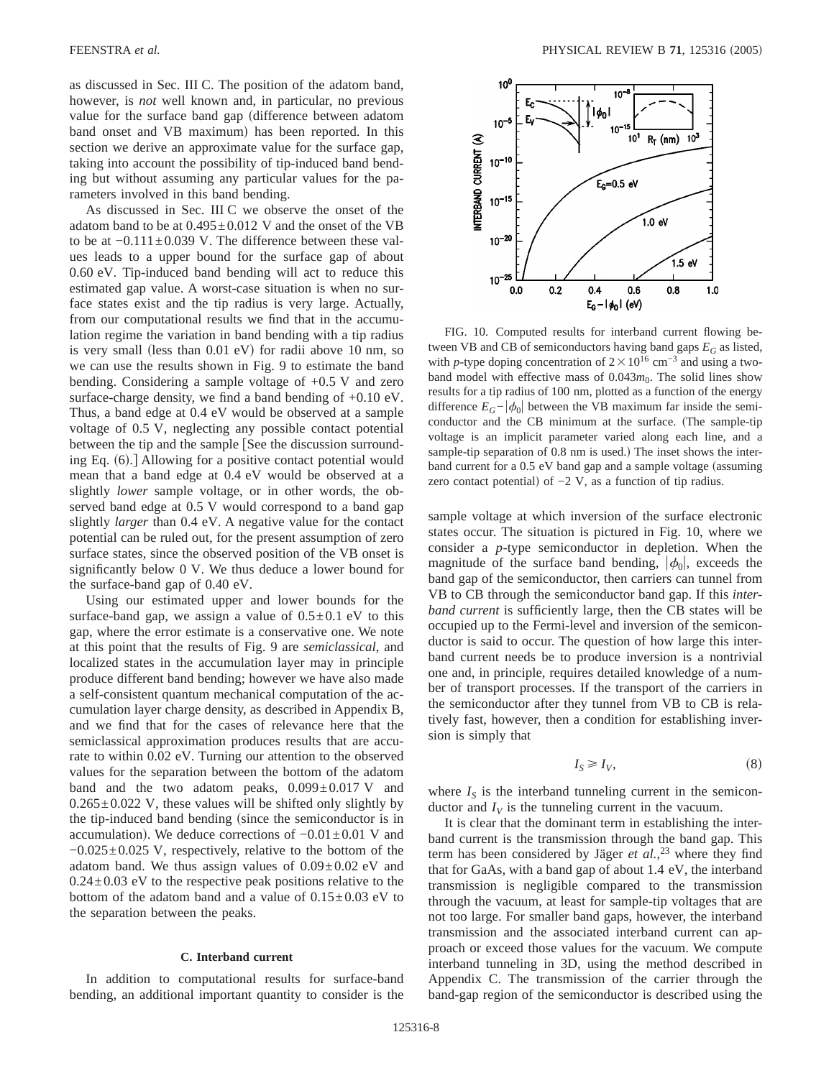as discussed in Sec. III C. The position of the adatom band, however, is *not* well known and, in particular, no previous value for the surface band gap (difference between adatom band onset and VB maximum) has been reported. In this section we derive an approximate value for the surface gap, taking into account the possibility of tip-induced band bending but without assuming any particular values for the parameters involved in this band bending.

As discussed in Sec. III C we observe the onset of the adatom band to be at  $0.495 \pm 0.012$  V and the onset of the VB to be at −0.111±0.039 V. The difference between these values leads to a upper bound for the surface gap of about 0.60 eV. Tip-induced band bending will act to reduce this estimated gap value. A worst-case situation is when no surface states exist and the tip radius is very large. Actually, from our computational results we find that in the accumulation regime the variation in band bending with a tip radius is very small (less than  $0.01$  eV) for radii above 10 nm, so we can use the results shown in Fig. 9 to estimate the band bending. Considering a sample voltage of +0.5 V and zero surface-charge density, we find a band bending of +0.10 eV. Thus, a band edge at 0.4 eV would be observed at a sample voltage of 0.5 V, neglecting any possible contact potential between the tip and the sample See the discussion surrounding Eq.  $(6)$ .] Allowing for a positive contact potential would mean that a band edge at 0.4 eV would be observed at a slightly *lower* sample voltage, or in other words, the observed band edge at 0.5 V would correspond to a band gap slightly *larger* than 0.4 eV. A negative value for the contact potential can be ruled out, for the present assumption of zero surface states, since the observed position of the VB onset is significantly below 0 V. We thus deduce a lower bound for the surface-band gap of 0.40 eV.

Using our estimated upper and lower bounds for the surface-band gap, we assign a value of  $0.5\pm0.1$  eV to this gap, where the error estimate is a conservative one. We note at this point that the results of Fig. 9 are *semiclassical*, and localized states in the accumulation layer may in principle produce different band bending; however we have also made a self-consistent quantum mechanical computation of the accumulation layer charge density, as described in Appendix B, and we find that for the cases of relevance here that the semiclassical approximation produces results that are accurate to within 0.02 eV. Turning our attention to the observed values for the separation between the bottom of the adatom band and the two adatom peaks,  $0.099 \pm 0.017$  V and  $0.265 \pm 0.022$  V, these values will be shifted only slightly by the tip-induced band bending (since the semiconductor is in accumulation). We deduce corrections of  $-0.01 \pm 0.01$  V and  $-0.025\pm0.025$  V, respectively, relative to the bottom of the adatom band. We thus assign values of  $0.09 \pm 0.02$  eV and  $0.24 \pm 0.03$  eV to the respective peak positions relative to the bottom of the adatom band and a value of  $0.15\pm0.03$  eV to the separation between the peaks.

#### **C. Interband current**

In addition to computational results for surface-band bending, an additional important quantity to consider is the



FIG. 10. Computed results for interband current flowing between VB and CB of semiconductors having band gaps  $E_G$  as listed, with *p*-type doping concentration of  $2 \times 10^{16}$  cm<sup>-3</sup> and using a twoband model with effective mass of  $0.043m<sub>0</sub>$ . The solid lines show results for a tip radius of 100 nm, plotted as a function of the energy difference  $E_G - |\phi_0|$  between the VB maximum far inside the semiconductor and the CB minimum at the surface. (The sample-tip voltage is an implicit parameter varied along each line, and a sample-tip separation of 0.8 nm is used.) The inset shows the interband current for a  $0.5$  eV band gap and a sample voltage (assuming zero contact potential) of  $-2$  V, as a function of tip radius.

sample voltage at which inversion of the surface electronic states occur. The situation is pictured in Fig. 10, where we consider a *p*-type semiconductor in depletion. When the magnitude of the surface band bending,  $|\phi_0|$ , exceeds the band gap of the semiconductor, then carriers can tunnel from VB to CB through the semiconductor band gap. If this *interband current* is sufficiently large, then the CB states will be occupied up to the Fermi-level and inversion of the semiconductor is said to occur. The question of how large this interband current needs be to produce inversion is a nontrivial one and, in principle, requires detailed knowledge of a number of transport processes. If the transport of the carriers in the semiconductor after they tunnel from VB to CB is relatively fast, however, then a condition for establishing inversion is simply that

$$
I_S \geq I_V,\tag{8}
$$

where  $I<sub>S</sub>$  is the interband tunneling current in the semiconductor and  $I_V$  is the tunneling current in the vacuum.

It is clear that the dominant term in establishing the interband current is the transmission through the band gap. This term has been considered by Jäger *et al.*, <sup>23</sup> where they find that for GaAs, with a band gap of about 1.4 eV, the interband transmission is negligible compared to the transmission through the vacuum, at least for sample-tip voltages that are not too large. For smaller band gaps, however, the interband transmission and the associated interband current can approach or exceed those values for the vacuum. We compute interband tunneling in 3D, using the method described in Appendix C. The transmission of the carrier through the band-gap region of the semiconductor is described using the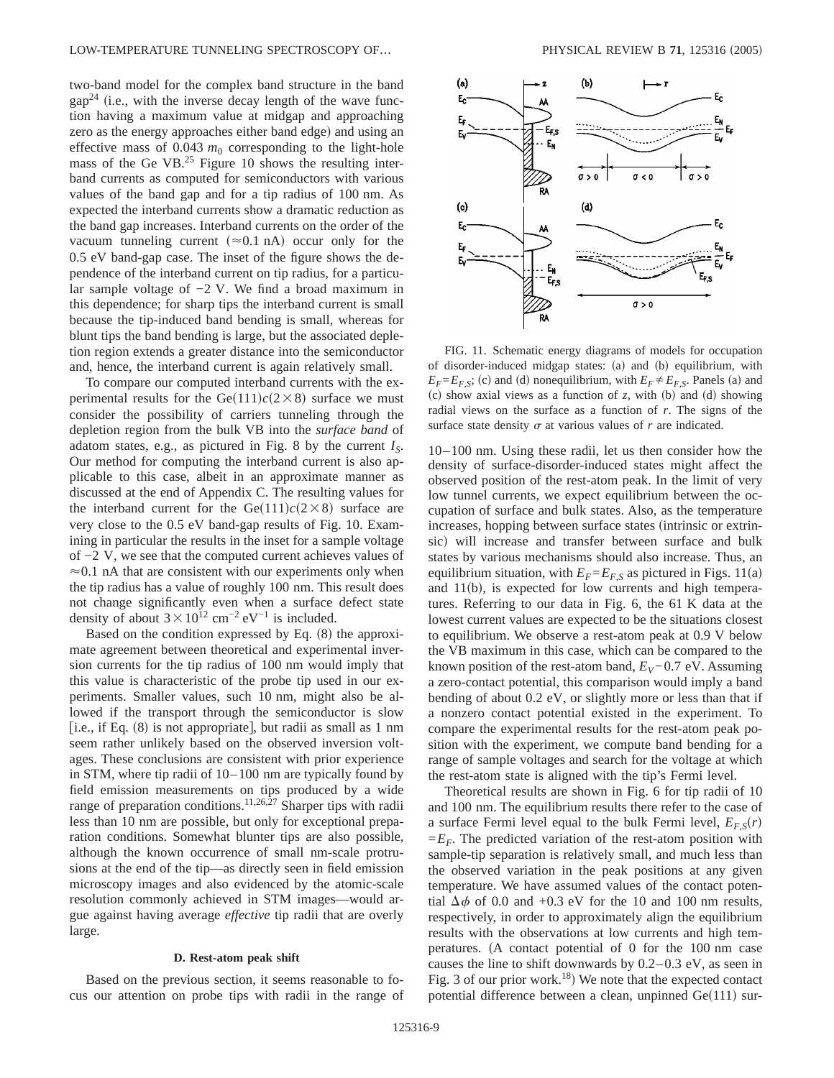two-band model for the complex band structure in the band  $gap<sup>24</sup>$  (i.e., with the inverse decay length of the wave function having a maximum value at midgap and approaching zero as the energy approaches either band edge) and using an effective mass of  $0.043$   $m_0$  corresponding to the light-hole mass of the Ge VB.<sup>25</sup> Figure 10 shows the resulting interband currents as computed for semiconductors with various values of the band gap and for a tip radius of 100 nm. As expected the interband currents show a dramatic reduction as the band gap increases. Interband currents on the order of the vacuum tunneling current ( $\approx$ 0.1 nA) occur only for the 0.5 eV band-gap case. The inset of the figure shows the dependence of the interband current on tip radius, for a particular sample voltage of −2 V. We find a broad maximum in this dependence; for sharp tips the interband current is small because the tip-induced band bending is small, whereas for blunt tips the band bending is large, but the associated depletion region extends a greater distance into the semiconductor and, hence, the interband current is again relatively small.

To compare our computed interband currents with the experimental results for the Ge $(111)c(2\times8)$  surface we must consider the possibility of carriers tunneling through the depletion region from the bulk VB into the *surface band* of adatom states, e.g., as pictured in Fig. 8 by the current  $I_s$ . Our method for computing the interband current is also applicable to this case, albeit in an approximate manner as discussed at the end of Appendix C. The resulting values for the interband current for the Ge $(111)c(2\times8)$  surface are very close to the 0.5 eV band-gap results of Fig. 10. Examining in particular the results in the inset for a sample voltage of −2 V, we see that the computed current achieves values of  $\approx 0.1$  nA that are consistent with our experiments only when the tip radius has a value of roughly 100 nm. This result does not change significantly even when a surface defect state density of about  $3 \times 10^{12}$  cm<sup>-2</sup> eV<sup>-1</sup> is included.

Based on the condition expressed by Eq.  $(8)$  the approximate agreement between theoretical and experimental inversion currents for the tip radius of 100 nm would imply that this value is characteristic of the probe tip used in our experiments. Smaller values, such 10 nm, might also be allowed if the transport through the semiconductor is slow [i.e., if Eq.  $(8)$  is not appropriate], but radii as small as 1 nm seem rather unlikely based on the observed inversion voltages. These conclusions are consistent with prior experience in STM, where tip radii of 10–100 nm are typically found by field emission measurements on tips produced by a wide range of preparation conditions.<sup>11,26,27</sup> Sharper tips with radii less than 10 nm are possible, but only for exceptional preparation conditions. Somewhat blunter tips are also possible, although the known occurrence of small nm-scale protrusions at the end of the tip—as directly seen in field emission microscopy images and also evidenced by the atomic-scale resolution commonly achieved in STM images—would argue against having average *effective* tip radii that are overly large.

#### **D. Rest-atom peak shift**

Based on the previous section, it seems reasonable to focus our attention on probe tips with radii in the range of



FIG. 11. Schematic energy diagrams of models for occupation of disorder-induced midgap states: (a) and (b) equilibrium, with  $E_F = E_{F,S}$ ; (c) and (d) nonequilibrium, with  $E_F \neq E_{F,S}$ . Panels (a) and (c) show axial views as a function of  $z$ , with (b) and (d) showing radial views on the surface as a function of *r*. The signs of the surface state density  $\sigma$  at various values of  $r$  are indicated.

10–100 nm. Using these radii, let us then consider how the density of surface-disorder-induced states might affect the observed position of the rest-atom peak. In the limit of very low tunnel currents, we expect equilibrium between the occupation of surface and bulk states. Also, as the temperature increases, hopping between surface states (intrinsic or extrinsic) will increase and transfer between surface and bulk states by various mechanisms should also increase. Thus, an equilibrium situation, with  $E_F = E_{F,S}$  as pictured in Figs. 11(a) and  $11(b)$ , is expected for low currents and high temperatures. Referring to our data in Fig. 6, the 61 K data at the lowest current values are expected to be the situations closest to equilibrium. We observe a rest-atom peak at 0.9 V below the VB maximum in this case, which can be compared to the known position of the rest-atom band,  $E_V$ −0.7 eV. Assuming a zero-contact potential, this comparison would imply a band bending of about 0.2 eV, or slightly more or less than that if a nonzero contact potential existed in the experiment. To compare the experimental results for the rest-atom peak position with the experiment, we compute band bending for a range of sample voltages and search for the voltage at which the rest-atom state is aligned with the tip's Fermi level.

Theoretical results are shown in Fig. 6 for tip radii of 10 and 100 nm. The equilibrium results there refer to the case of a surface Fermi level equal to the bulk Fermi level,  $E_{FS}(r)$  $=E_F$ . The predicted variation of the rest-atom position with sample-tip separation is relatively small, and much less than the observed variation in the peak positions at any given temperature. We have assumed values of the contact potential  $\Delta \phi$  of 0.0 and +0.3 eV for the 10 and 100 nm results, respectively, in order to approximately align the equilibrium results with the observations at low currents and high temperatures. (A contact potential of  $0$  for the 100 nm case causes the line to shift downwards by 0.2–0.3 eV, as seen in Fig. 3 of our prior work.<sup>18</sup>) We note that the expected contact potential difference between a clean, unpinned  $Ge(111)$  sur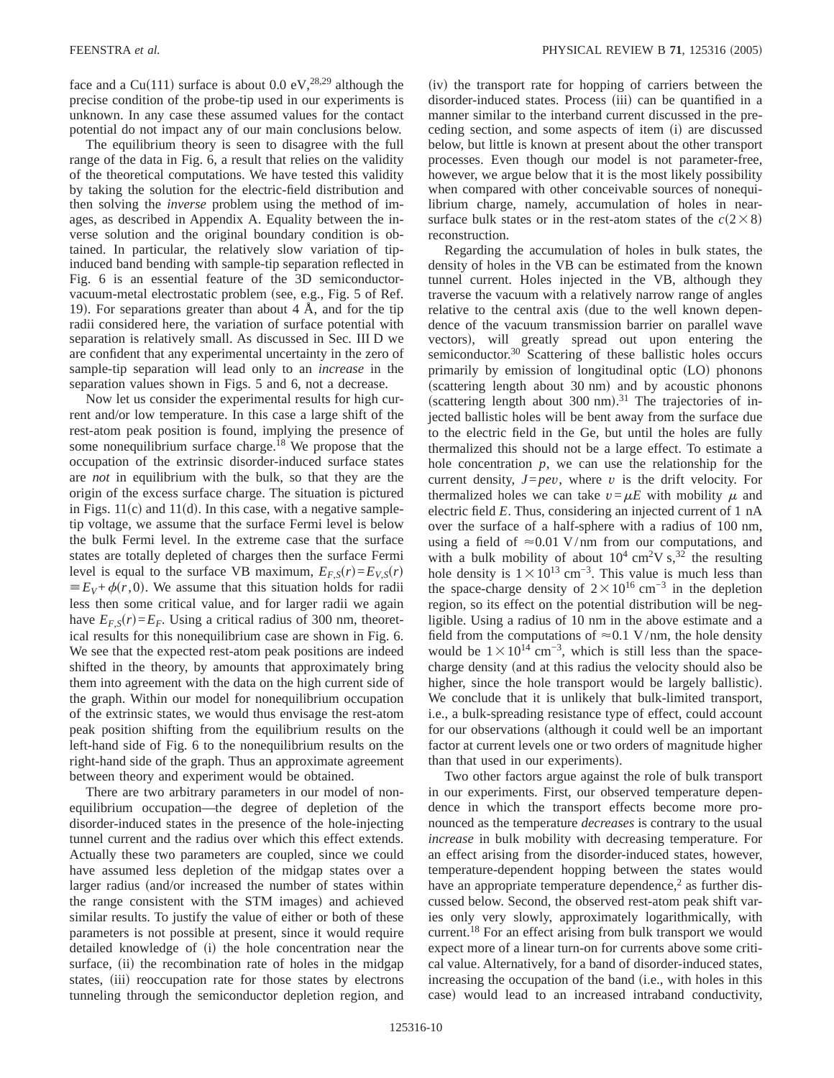face and a Cu(111) surface is about 0.0 eV,<sup>28,29</sup> although the precise condition of the probe-tip used in our experiments is unknown. In any case these assumed values for the contact potential do not impact any of our main conclusions below.

The equilibrium theory is seen to disagree with the full range of the data in Fig. 6, a result that relies on the validity of the theoretical computations. We have tested this validity by taking the solution for the electric-field distribution and then solving the *inverse* problem using the method of images, as described in Appendix A. Equality between the inverse solution and the original boundary condition is obtained. In particular, the relatively slow variation of tipinduced band bending with sample-tip separation reflected in Fig. 6 is an essential feature of the 3D semiconductorvacuum-metal electrostatic problem (see, e.g., Fig. 5 of Ref. 19). For separations greater than about  $4 \text{ Å}$ , and for the tip radii considered here, the variation of surface potential with separation is relatively small. As discussed in Sec. III D we are confident that any experimental uncertainty in the zero of sample-tip separation will lead only to an *increase* in the separation values shown in Figs. 5 and 6, not a decrease.

Now let us consider the experimental results for high current and/or low temperature. In this case a large shift of the rest-atom peak position is found, implying the presence of some nonequilibrium surface charge.18 We propose that the occupation of the extrinsic disorder-induced surface states are *not* in equilibrium with the bulk, so that they are the origin of the excess surface charge. The situation is pictured in Figs.  $11(c)$  and  $11(d)$ . In this case, with a negative sampletip voltage, we assume that the surface Fermi level is below the bulk Fermi level. In the extreme case that the surface states are totally depleted of charges then the surface Fermi level is equal to the surface VB maximum,  $E_{F,S}(r) = E_{V,S}(r)$  $\equiv E_V + \phi(r,0)$ . We assume that this situation holds for radii less then some critical value, and for larger radii we again have  $E_{F,S}(r) = E_F$ . Using a critical radius of 300 nm, theoretical results for this nonequilibrium case are shown in Fig. 6. We see that the expected rest-atom peak positions are indeed shifted in the theory, by amounts that approximately bring them into agreement with the data on the high current side of the graph. Within our model for nonequilibrium occupation of the extrinsic states, we would thus envisage the rest-atom peak position shifting from the equilibrium results on the left-hand side of Fig. 6 to the nonequilibrium results on the right-hand side of the graph. Thus an approximate agreement between theory and experiment would be obtained.

There are two arbitrary parameters in our model of nonequilibrium occupation—the degree of depletion of the disorder-induced states in the presence of the hole-injecting tunnel current and the radius over which this effect extends. Actually these two parameters are coupled, since we could have assumed less depletion of the midgap states over a larger radius (and/or increased the number of states within the range consistent with the STM images) and achieved similar results. To justify the value of either or both of these parameters is not possible at present, since it would require detailed knowledge of (i) the hole concentration near the surface, (ii) the recombination rate of holes in the midgap states, (iii) reoccupation rate for those states by electrons tunneling through the semiconductor depletion region, and (iv) the transport rate for hopping of carriers between the disorder-induced states. Process (iii) can be quantified in a manner similar to the interband current discussed in the preceding section, and some aspects of item (i) are discussed below, but little is known at present about the other transport processes. Even though our model is not parameter-free, however, we argue below that it is the most likely possibility when compared with other conceivable sources of nonequilibrium charge, namely, accumulation of holes in nearsurface bulk states or in the rest-atom states of the  $c(2\times8)$ reconstruction.

Regarding the accumulation of holes in bulk states, the density of holes in the VB can be estimated from the known tunnel current. Holes injected in the VB, although they traverse the vacuum with a relatively narrow range of angles relative to the central axis (due to the well known dependence of the vacuum transmission barrier on parallel wave vectors), will greatly spread out upon entering the semiconductor.<sup>30</sup> Scattering of these ballistic holes occurs primarily by emission of longitudinal optic (LO) phonons (scattering length about  $30 \text{ nm}$ ) and by acoustic phonons (scattering length about 300 nm). $31$  The trajectories of injected ballistic holes will be bent away from the surface due to the electric field in the Ge, but until the holes are fully thermalized this should not be a large effect. To estimate a hole concentration  $p$ , we can use the relationship for the current density,  $J = pev$ , where *v* is the drift velocity. For thermalized holes we can take  $v = \mu E$  with mobility  $\mu$  and electric field *E*. Thus, considering an injected current of 1 nA over the surface of a half-sphere with a radius of 100 nm, using a field of  $\approx 0.01$  V/nm from our computations, and with a bulk mobility of about  $10^4 \text{ cm}^2 \text{V s}$ ,<sup>32</sup> the resulting hole density is  $1\times10^{13}$  cm<sup>-3</sup>. This value is much less than the space-charge density of  $2\times10^{16}$  cm<sup>-3</sup> in the depletion region, so its effect on the potential distribution will be negligible. Using a radius of 10 nm in the above estimate and a field from the computations of  $\approx 0.1$  V/nm, the hole density would be  $1\times10^{14}$  cm<sup>-3</sup>, which is still less than the spacecharge density (and at this radius the velocity should also be higher, since the hole transport would be largely ballistic). We conclude that it is unlikely that bulk-limited transport, i.e., a bulk-spreading resistance type of effect, could account for our observations (although it could well be an important factor at current levels one or two orders of magnitude higher than that used in our experiments).

Two other factors argue against the role of bulk transport in our experiments. First, our observed temperature dependence in which the transport effects become more pronounced as the temperature *decreases* is contrary to the usual *increase* in bulk mobility with decreasing temperature. For an effect arising from the disorder-induced states, however, temperature-dependent hopping between the states would have an appropriate temperature dependence,<sup>2</sup> as further discussed below. Second, the observed rest-atom peak shift varies only very slowly, approximately logarithmically, with current.18 For an effect arising from bulk transport we would expect more of a linear turn-on for currents above some critical value. Alternatively, for a band of disorder-induced states, increasing the occupation of the band (i.e., with holes in this cased would lead to an increased intraband conductivity,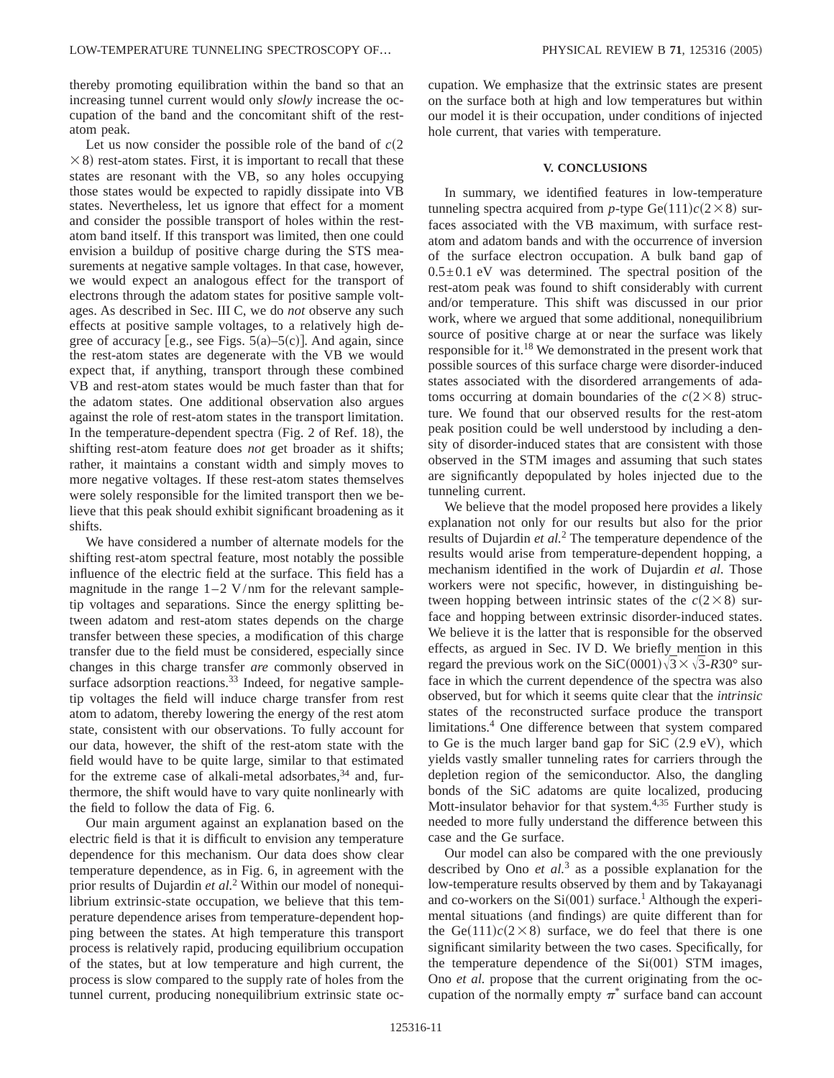thereby promoting equilibration within the band so that an increasing tunnel current would only *slowly* increase the occupation of the band and the concomitant shift of the restatom peak.

Let us now consider the possible role of the band of  $c(2)$  $\times$ 8) rest-atom states. First, it is important to recall that these states are resonant with the VB, so any holes occupying those states would be expected to rapidly dissipate into VB states. Nevertheless, let us ignore that effect for a moment and consider the possible transport of holes within the restatom band itself. If this transport was limited, then one could envision a buildup of positive charge during the STS measurements at negative sample voltages. In that case, however, we would expect an analogous effect for the transport of electrons through the adatom states for positive sample voltages. As described in Sec. III C, we do *not* observe any such effects at positive sample voltages, to a relatively high degree of accuracy [e.g., see Figs.  $5(a)$ – $5(c)$ ]. And again, since the rest-atom states are degenerate with the VB we would expect that, if anything, transport through these combined VB and rest-atom states would be much faster than that for the adatom states. One additional observation also argues against the role of rest-atom states in the transport limitation. In the temperature-dependent spectra (Fig. 2 of Ref. 18), the shifting rest-atom feature does *not* get broader as it shifts; rather, it maintains a constant width and simply moves to more negative voltages. If these rest-atom states themselves were solely responsible for the limited transport then we believe that this peak should exhibit significant broadening as it shifts.

We have considered a number of alternate models for the shifting rest-atom spectral feature, most notably the possible influence of the electric field at the surface. This field has a magnitude in the range  $1-2$  V/nm for the relevant sampletip voltages and separations. Since the energy splitting between adatom and rest-atom states depends on the charge transfer between these species, a modification of this charge transfer due to the field must be considered, especially since changes in this charge transfer *are* commonly observed in surface adsorption reactions. $33$  Indeed, for negative sampletip voltages the field will induce charge transfer from rest atom to adatom, thereby lowering the energy of the rest atom state, consistent with our observations. To fully account for our data, however, the shift of the rest-atom state with the field would have to be quite large, similar to that estimated for the extreme case of alkali-metal adsorbates,  $34$  and, furthermore, the shift would have to vary quite nonlinearly with the field to follow the data of Fig. 6.

Our main argument against an explanation based on the electric field is that it is difficult to envision any temperature dependence for this mechanism. Our data does show clear temperature dependence, as in Fig. 6, in agreement with the prior results of Dujardin *et al.*<sup>2</sup> Within our model of nonequilibrium extrinsic-state occupation, we believe that this temperature dependence arises from temperature-dependent hopping between the states. At high temperature this transport process is relatively rapid, producing equilibrium occupation of the states, but at low temperature and high current, the process is slow compared to the supply rate of holes from the tunnel current, producing nonequilibrium extrinsic state occupation. We emphasize that the extrinsic states are present on the surface both at high and low temperatures but within our model it is their occupation, under conditions of injected hole current, that varies with temperature.

## **V. CONCLUSIONS**

In summary, we identified features in low-temperature tunneling spectra acquired from *p*-type Ge $(111)c(2\times8)$  surfaces associated with the VB maximum, with surface restatom and adatom bands and with the occurrence of inversion of the surface electron occupation. A bulk band gap of  $0.5\pm0.1$  eV was determined. The spectral position of the rest-atom peak was found to shift considerably with current and/or temperature. This shift was discussed in our prior work, where we argued that some additional, nonequilibrium source of positive charge at or near the surface was likely responsible for it.18 We demonstrated in the present work that possible sources of this surface charge were disorder-induced states associated with the disordered arrangements of adatoms occurring at domain boundaries of the  $c(2\times8)$  structure. We found that our observed results for the rest-atom peak position could be well understood by including a density of disorder-induced states that are consistent with those observed in the STM images and assuming that such states are significantly depopulated by holes injected due to the tunneling current.

We believe that the model proposed here provides a likely explanation not only for our results but also for the prior results of Dujardin *et al.*<sup>2</sup> The temperature dependence of the results would arise from temperature-dependent hopping, a mechanism identified in the work of Dujardin *et al.* Those workers were not specific, however, in distinguishing between hopping between intrinsic states of the  $c(2\times8)$  surface and hopping between extrinsic disorder-induced states. We believe it is the latter that is responsible for the observed effects, as argued in Sec. IV D. We briefly mention in this regard the previous work on the SiC(0001) $\sqrt{3} \times \sqrt{3}$ -*R*30° surface in which the current dependence of the spectra was also observed, but for which it seems quite clear that the *intrinsic* states of the reconstructed surface produce the transport limitations.4 One difference between that system compared to Ge is the much larger band gap for  $SiC$  (2.9 eV), which yields vastly smaller tunneling rates for carriers through the depletion region of the semiconductor. Also, the dangling bonds of the SiC adatoms are quite localized, producing Mott-insulator behavior for that system. $4,35$  Further study is needed to more fully understand the difference between this case and the Ge surface.

Our model can also be compared with the one previously described by Ono *et al.*<sup>3</sup> as a possible explanation for the low-temperature results observed by them and by Takayanagi and co-workers on the  $Si(001)$  surface.<sup>1</sup> Although the experimental situations (and findings) are quite different than for the Ge $(111)c(2\times8)$  surface, we do feel that there is one significant similarity between the two cases. Specifically, for the temperature dependence of the  $Si(001)$  STM images, Ono *et al.* propose that the current originating from the occupation of the normally empty  $\pi^*$  surface band can account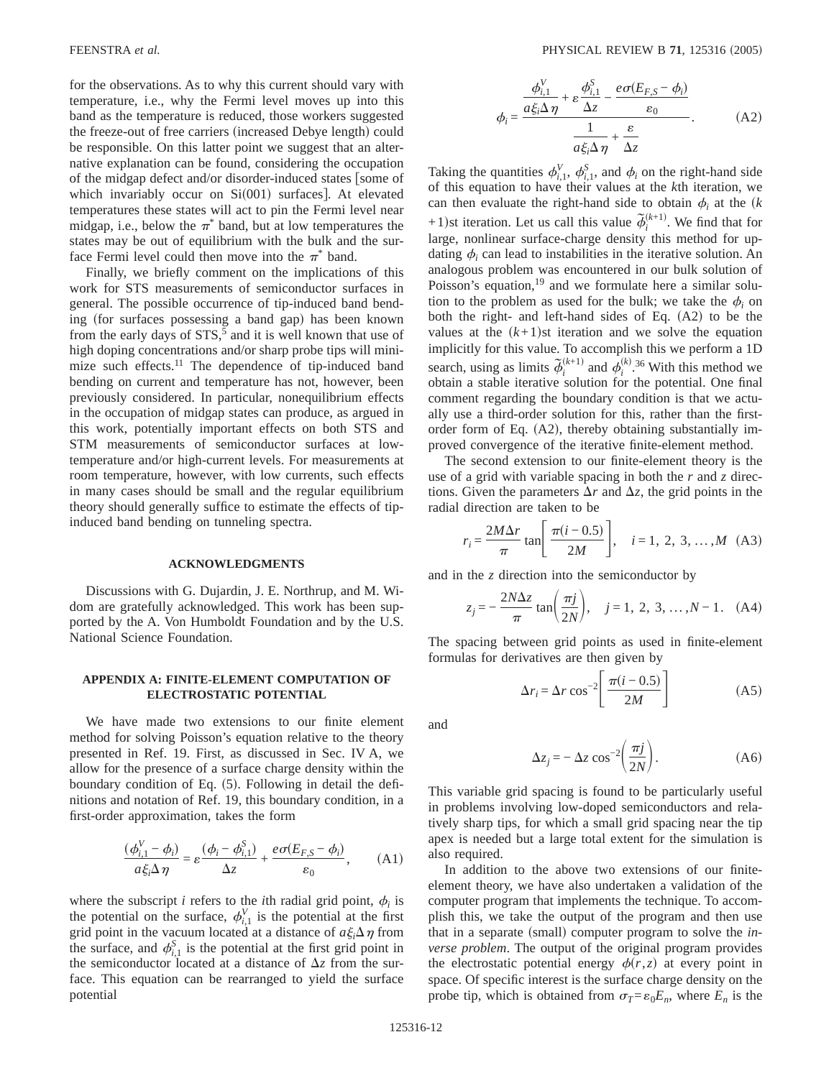for the observations. As to why this current should vary with temperature, i.e., why the Fermi level moves up into this band as the temperature is reduced, those workers suggested the freeze-out of free carriers (increased Debye length) could be responsible. On this latter point we suggest that an alternative explanation can be found, considering the occupation of the midgap defect and/or disorder-induced states fsome of which invariably occur on  $Si(001)$  surfaces]. At elevated temperatures these states will act to pin the Fermi level near midgap, i.e., below the  $\pi^*$  band, but at low temperatures the states may be out of equilibrium with the bulk and the surface Fermi level could then move into the  $\pi^*$  band.

Finally, we briefly comment on the implications of this work for STS measurements of semiconductor surfaces in general. The possible occurrence of tip-induced band bending (for surfaces possessing a band gap) has been known from the early days of  $STS$ , and it is well known that use of high doping concentrations and/or sharp probe tips will minimize such effects.<sup>11</sup> The dependence of tip-induced band bending on current and temperature has not, however, been previously considered. In particular, nonequilibrium effects in the occupation of midgap states can produce, as argued in this work, potentially important effects on both STS and STM measurements of semiconductor surfaces at lowtemperature and/or high-current levels. For measurements at room temperature, however, with low currents, such effects in many cases should be small and the regular equilibrium theory should generally suffice to estimate the effects of tipinduced band bending on tunneling spectra.

# **ACKNOWLEDGMENTS**

Discussions with G. Dujardin, J. E. Northrup, and M. Widom are gratefully acknowledged. This work has been supported by the A. Von Humboldt Foundation and by the U.S. National Science Foundation.

## **APPENDIX A: FINITE-ELEMENT COMPUTATION OF ELECTROSTATIC POTENTIAL**

We have made two extensions to our finite element method for solving Poisson's equation relative to the theory presented in Ref. 19. First, as discussed in Sec. IV A, we allow for the presence of a surface charge density within the boundary condition of Eq.  $(5)$ . Following in detail the definitions and notation of Ref. 19, this boundary condition, in a first-order approximation, takes the form

$$
\frac{(\phi_{i,1}^V - \phi_i)}{a\xi_i \Delta \eta} = \varepsilon \frac{(\phi_i - \phi_{i,1}^S)}{\Delta z} + \frac{e\sigma(E_{F,S} - \phi_i)}{\varepsilon_0}, \quad (A1)
$$

where the subscript *i* refers to the *i*th radial grid point,  $\phi_i$  is the potential on the surface,  $\phi_{i,1}^V$  is the potential at the first grid point in the vacuum located at a distance of  $a\xi_i\Delta\eta$  from the surface, and  $\phi_{i,1}^S$  is the potential at the first grid point in the semiconductor located at a distance of  $\Delta z$  from the surface. This equation can be rearranged to yield the surface potential

$$
\phi_i = \frac{\frac{\phi_{i,1}^V}{a\xi_i\Delta\eta} + \varepsilon\frac{\phi_{i,1}^S}{\Delta z} - \frac{e\sigma(E_{F,S} - \phi_i)}{\varepsilon_0}}{\frac{1}{a\xi_i\Delta\eta} + \frac{\varepsilon}{\Delta z}}.
$$
 (A2)

Taking the quantities  $\phi_{i,1}^V$ ,  $\phi_{i,1}^S$ , and  $\phi_i$  on the right-hand side of this equation to have their values at the *k*th iteration, we can then evaluate the right-hand side to obtain  $\phi_i$  at the  $(k$ +1)st iteration. Let us call this value  $\tilde{\phi}_i^0$  $s_i^{(k+1)}$ . We find that for large, nonlinear surface-charge density this method for updating  $\phi_i$  can lead to instabilities in the iterative solution. An analogous problem was encountered in our bulk solution of Poisson's equation,<sup>19</sup> and we formulate here a similar solution to the problem as used for the bulk; we take the  $\phi_i$  on both the right- and left-hand sides of Eq.  $(A2)$  to be the values at the  $(k+1)$ st iteration and we solve the equation implicitly for this value. To accomplish this we perform a 1D search, using as limits  $\tilde{\phi}_i^{(k+1)}$  and  $\phi_i^{(k)}$ .<sup>36</sup> With this method we obtain a stable iterative solution for the potential. One final comment regarding the boundary condition is that we actually use a third-order solution for this, rather than the firstorder form of Eq.  $(A2)$ , thereby obtaining substantially improved convergence of the iterative finite-element method.

The second extension to our finite-element theory is the use of a grid with variable spacing in both the *r* and *z* directions. Given the parameters  $\Delta r$  and  $\Delta z$ , the grid points in the radial direction are taken to be

$$
r_i = \frac{2M\Delta r}{\pi} \tan \left[ \frac{\pi (i - 0.5)}{2M} \right], \quad i = 1, 2, 3, ..., M \quad (A3)
$$

and in the *z* direction into the semiconductor by

$$
z_j = -\frac{2N\Delta z}{\pi} \tan\left(\frac{\pi j}{2N}\right), \quad j = 1, 2, 3, ..., N-1.
$$
 (A4)

The spacing between grid points as used in finite-element formulas for derivatives are then given by

$$
\Delta r_i = \Delta r \cos^{-2} \left[ \frac{\pi (i - 0.5)}{2M} \right]
$$
 (A5)

and

$$
\Delta z_j = -\Delta z \cos^{-2} \left( \frac{\pi j}{2N} \right). \tag{A6}
$$

This variable grid spacing is found to be particularly useful in problems involving low-doped semiconductors and relatively sharp tips, for which a small grid spacing near the tip apex is needed but a large total extent for the simulation is also required.

In addition to the above two extensions of our finiteelement theory, we have also undertaken a validation of the computer program that implements the technique. To accomplish this, we take the output of the program and then use that in a separate (small) computer program to solve the *inverse problem*. The output of the original program provides the electrostatic potential energy  $\phi(r,z)$  at every point in space. Of specific interest is the surface charge density on the probe tip, which is obtained from  $\sigma_T = \varepsilon_0 E_n$ , where  $E_n$  is the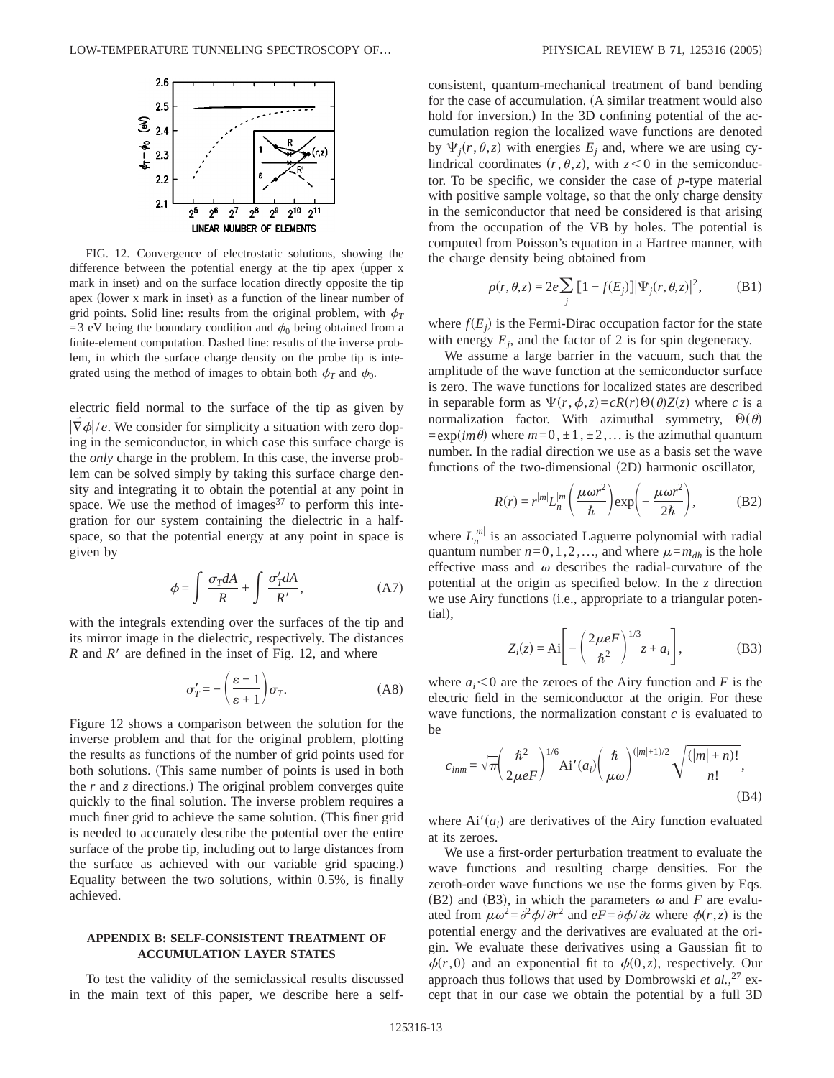

FIG. 12. Convergence of electrostatic solutions, showing the difference between the potential energy at the tip apex (upper  $x$ mark in inset) and on the surface location directly opposite the tip apex (lower x mark in inset) as a function of the linear number of grid points. Solid line: results from the original problem, with  $\phi_T$ =3 eV being the boundary condition and  $\phi_0$  being obtained from a finite-element computation. Dashed line: results of the inverse problem, in which the surface charge density on the probe tip is integrated using the method of images to obtain both  $\phi_T$  and  $\phi_0$ .

electric field normal to the surface of the tip as given by  $|\nabla \phi|/e$ . We consider for simplicity a situation with zero doping in the semiconductor, in which case this surface charge is the *only* charge in the problem. In this case, the inverse problem can be solved simply by taking this surface charge density and integrating it to obtain the potential at any point in space. We use the method of images $37$  to perform this integration for our system containing the dielectric in a halfspace, so that the potential energy at any point in space is given by

$$
\phi = \int \frac{\sigma_T dA}{R} + \int \frac{\sigma'_T dA}{R'}, \tag{A7}
$$

with the integrals extending over the surfaces of the tip and its mirror image in the dielectric, respectively. The distances  $R$  and  $R'$  are defined in the inset of Fig. 12, and where

$$
\sigma'_T = -\left(\frac{\varepsilon - 1}{\varepsilon + 1}\right)\sigma_T.
$$
 (A8)

Figure 12 shows a comparison between the solution for the inverse problem and that for the original problem, plotting the results as functions of the number of grid points used for both solutions. (This same number of points is used in both the  $r$  and  $\zeta$  directions.) The original problem converges quite quickly to the final solution. The inverse problem requires a much finer grid to achieve the same solution. (This finer grid is needed to accurately describe the potential over the entire surface of the probe tip, including out to large distances from the surface as achieved with our variable grid spacing.) Equality between the two solutions, within 0.5%, is finally achieved.

## **APPENDIX B: SELF-CONSISTENT TREATMENT OF ACCUMULATION LAYER STATES**

To test the validity of the semiclassical results discussed in the main text of this paper, we describe here a selfconsistent, quantum-mechanical treatment of band bending for the case of accumulation. (A similar treatment would also hold for inversion.) In the 3D confining potential of the accumulation region the localized wave functions are denoted by  $\Psi_j(r, \theta, z)$  with energies  $E_j$  and, where we are using cylindrical coordinates  $(r, \theta, z)$ , with  $z < 0$  in the semiconductor. To be specific, we consider the case of *p*-type material with positive sample voltage, so that the only charge density in the semiconductor that need be considered is that arising from the occupation of the VB by holes. The potential is computed from Poisson's equation in a Hartree manner, with the charge density being obtained from

$$
\rho(r,\theta,z) = 2e \sum_{j} \left[1 - f(E_j)\right] |\Psi_j(r,\theta,z)|^2, \quad (B1)
$$

where  $f(E_i)$  is the Fermi-Dirac occupation factor for the state with energy  $E_i$ , and the factor of 2 is for spin degeneracy.

We assume a large barrier in the vacuum, such that the amplitude of the wave function at the semiconductor surface is zero. The wave functions for localized states are described in separable form as  $\Psi(r, \phi, z) = cR(r)\Theta(\theta)Z(z)$  where *c* is a normalization factor. With azimuthal symmetry,  $\Theta(\theta)$  $=exp(im\theta)$  where  $m=0, \pm 1, \pm 2,...$  is the azimuthal quantum number. In the radial direction we use as a basis set the wave functions of the two-dimensional  $(2D)$  harmonic oscillator,

$$
R(r) = r^{|m|} L_n^{|m|} \left( \frac{\mu \omega r^2}{\hbar} \right) \exp \left( -\frac{\mu \omega r^2}{2\hbar} \right), \tag{B2}
$$

where  $L_n^{|m|}$  is an associated Laguerre polynomial with radial quantum number  $n=0,1,2,...$ , and where  $\mu=m_{dh}$  is the hole effective mass and  $\omega$  describes the radial-curvature of the potential at the origin as specified below. In the *z* direction we use Airy functions (i.e., appropriate to a triangular potential),

$$
Z_i(z) = Ai\left[-\left(\frac{2\mu eF}{\hbar^2}\right)^{1/3} z + a_i\right],
$$
 (B3)

where  $a_i < 0$  are the zeroes of the Airy function and *F* is the electric field in the semiconductor at the origin. For these wave functions, the normalization constant *c* is evaluated to be

$$
c_{inm} = \sqrt{\pi} \left(\frac{\hbar^2}{2\mu eF}\right)^{1/6} \text{Ai}'(a_i) \left(\frac{\hbar}{\mu\omega}\right)^{(|m|+1)/2} \sqrt{\frac{(|m|+n)!}{n!}},\tag{B4}
$$

where  $Ai'(a_i)$  are derivatives of the Airy function evaluated at its zeroes.

We use a first-order perturbation treatment to evaluate the wave functions and resulting charge densities. For the zeroth-order wave functions we use the forms given by Eqs. (B2) and (B3), in which the parameters  $\omega$  and *F* are evaluated from  $\mu \omega^2 = \partial^2 \phi / \partial r^2$  and  $eF = \partial \phi / \partial z$  where  $\phi(r, z)$  is the potential energy and the derivatives are evaluated at the origin. We evaluate these derivatives using a Gaussian fit to  $\phi(r,0)$  and an exponential fit to  $\phi(0,z)$ , respectively. Our approach thus follows that used by Dombrowski *et al.*, <sup>27</sup> except that in our case we obtain the potential by a full 3D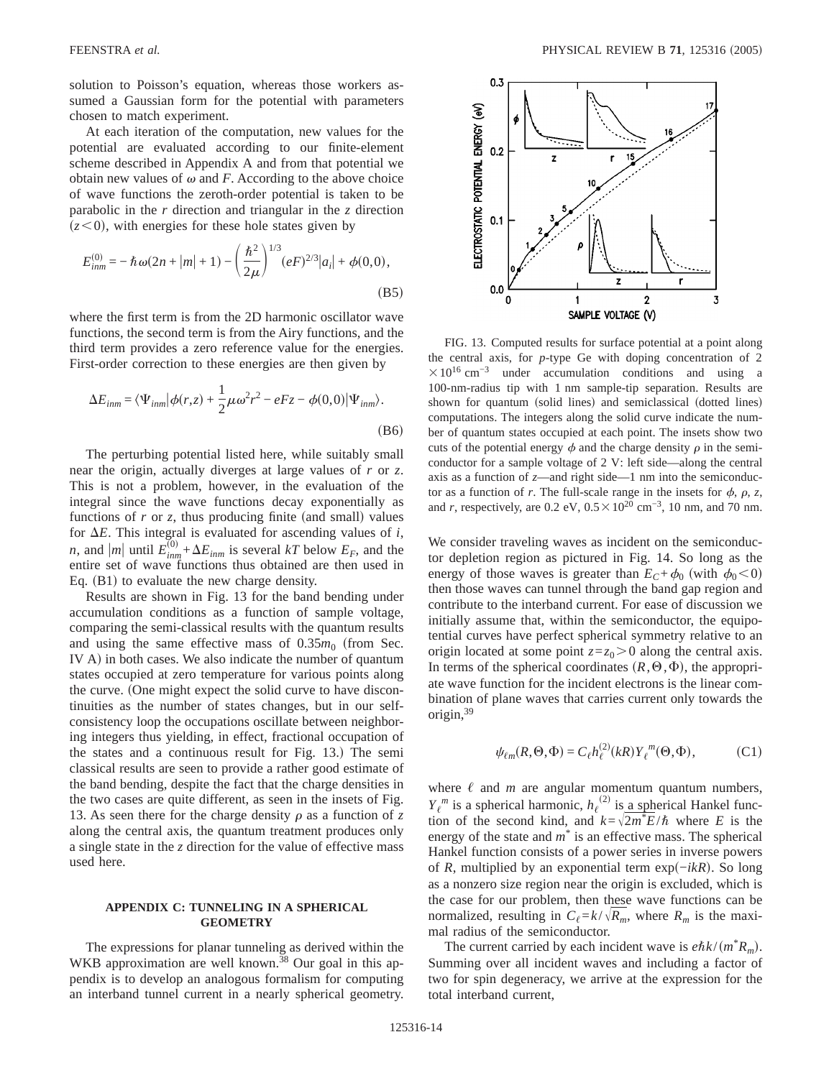solution to Poisson's equation, whereas those workers assumed a Gaussian form for the potential with parameters chosen to match experiment.

At each iteration of the computation, new values for the potential are evaluated according to our finite-element scheme described in Appendix A and from that potential we obtain new values of  $\omega$  and *F*. According to the above choice of wave functions the zeroth-order potential is taken to be parabolic in the *r* direction and triangular in the *z* direction  $(z<0)$ , with energies for these hole states given by

$$
E_{imm}^{(0)} = -\hbar\omega(2n+|m|+1) - \left(\frac{\hbar^2}{2\mu}\right)^{1/3} (eF)^{2/3}|a_i| + \phi(0,0),
$$
\n(B5)

where the first term is from the 2D harmonic oscillator wave functions, the second term is from the Airy functions, and the third term provides a zero reference value for the energies. First-order correction to these energies are then given by

$$
\Delta E_{inm} = \langle \Psi_{inm} | \phi(r, z) + \frac{1}{2} \mu \omega^2 r^2 - eFz - \phi(0, 0) | \Psi_{inm} \rangle.
$$
\n(B6)

The perturbing potential listed here, while suitably small near the origin, actually diverges at large values of *r* or *z*. This is not a problem, however, in the evaluation of the integral since the wave functions decay exponentially as functions of  $r$  or  $z$ , thus producing finite (and small) values for  $\Delta E$ . This integral is evaluated for ascending values of *i*, *n*, and |*m*| until  $E_{inm}^{(0)} + \Delta E_{inm}$  is several *kT* below  $E_F$ , and the entire set of wave functions thus obtained are then used in Eq.  $(B1)$  to evaluate the new charge density.

Results are shown in Fig. 13 for the band bending under accumulation conditions as a function of sample voltage, comparing the semi-classical results with the quantum results and using the same effective mass of  $0.35m_0$  (from Sec. IV A) in both cases. We also indicate the number of quantum states occupied at zero temperature for various points along the curve. (One might expect the solid curve to have discontinuities as the number of states changes, but in our selfconsistency loop the occupations oscillate between neighboring integers thus yielding, in effect, fractional occupation of the states and a continuous result for Fig. 13. The semi classical results are seen to provide a rather good estimate of the band bending, despite the fact that the charge densities in the two cases are quite different, as seen in the insets of Fig. 13. As seen there for the charge density  $\rho$  as a function of  $z$ along the central axis, the quantum treatment produces only a single state in the *z* direction for the value of effective mass used here.

### **APPENDIX C: TUNNELING IN A SPHERICAL GEOMETRY**

The expressions for planar tunneling as derived within the WKB approximation are well known.<sup>38</sup> Our goal in this appendix is to develop an analogous formalism for computing an interband tunnel current in a nearly spherical geometry.



FIG. 13. Computed results for surface potential at a point along the central axis, for *p*-type Ge with doping concentration of 2  $\times10^{16}$  cm<sup>-3</sup> under accumulation conditions and using a 100-nm-radius tip with 1 nm sample-tip separation. Results are shown for quantum (solid lines) and semiclassical (dotted lines) computations. The integers along the solid curve indicate the number of quantum states occupied at each point. The insets show two cuts of the potential energy  $\phi$  and the charge density  $\rho$  in the semiconductor for a sample voltage of 2 V: left side—along the central axis as a function of *z*—and right side—1 nm into the semiconductor as a function of *r*. The full-scale range in the insets for  $\phi$ ,  $\rho$ , *z*, and *r*, respectively, are 0.2 eV,  $0.5 \times 10^{20}$  cm<sup>-3</sup>, 10 nm, and 70 nm.

We consider traveling waves as incident on the semiconductor depletion region as pictured in Fig. 14. So long as the energy of those waves is greater than  $E_C + \phi_0$  (with  $\phi_0 < 0$ ) then those waves can tunnel through the band gap region and contribute to the interband current. For ease of discussion we initially assume that, within the semiconductor, the equipotential curves have perfect spherical symmetry relative to an origin located at some point  $z=z_0$  > 0 along the central axis. In terms of the spherical coordinates  $(R, \Theta, \Phi)$ , the appropriate wave function for the incident electrons is the linear combination of plane waves that carries current only towards the origin,<sup>39</sup>

$$
\psi_{\ell m}(R,\Theta,\Phi) = C_{\ell} h_{\ell}^{(2)}(kR) Y_{\ell}^{m}(\Theta,\Phi), \qquad (C1)
$$

where  $\ell$  and  $m$  are angular momentum quantum numbers,  $Y_{\ell}^{m}$  is a spherical harmonic,  $h_{\ell}^{(2)}$  is a spherical Hankel function of the second kind, and  $k = \sqrt{2m^*E/\hbar}$  where *E* is the energy of the state and *m*\* is an effective mass. The spherical Hankel function consists of a power series in inverse powers of *R*, multiplied by an exponential term exp(*−ikR*). So long as a nonzero size region near the origin is excluded, which is the case for our problem, then these wave functions can be normalized, resulting in  $C_{\ell} = k / \sqrt{R_m}$ , where  $R_m$  is the maximal radius of the semiconductor.

The current carried by each incident wave is  $e\hbar k/(m^*R_m)$ . Summing over all incident waves and including a factor of two for spin degeneracy, we arrive at the expression for the total interband current,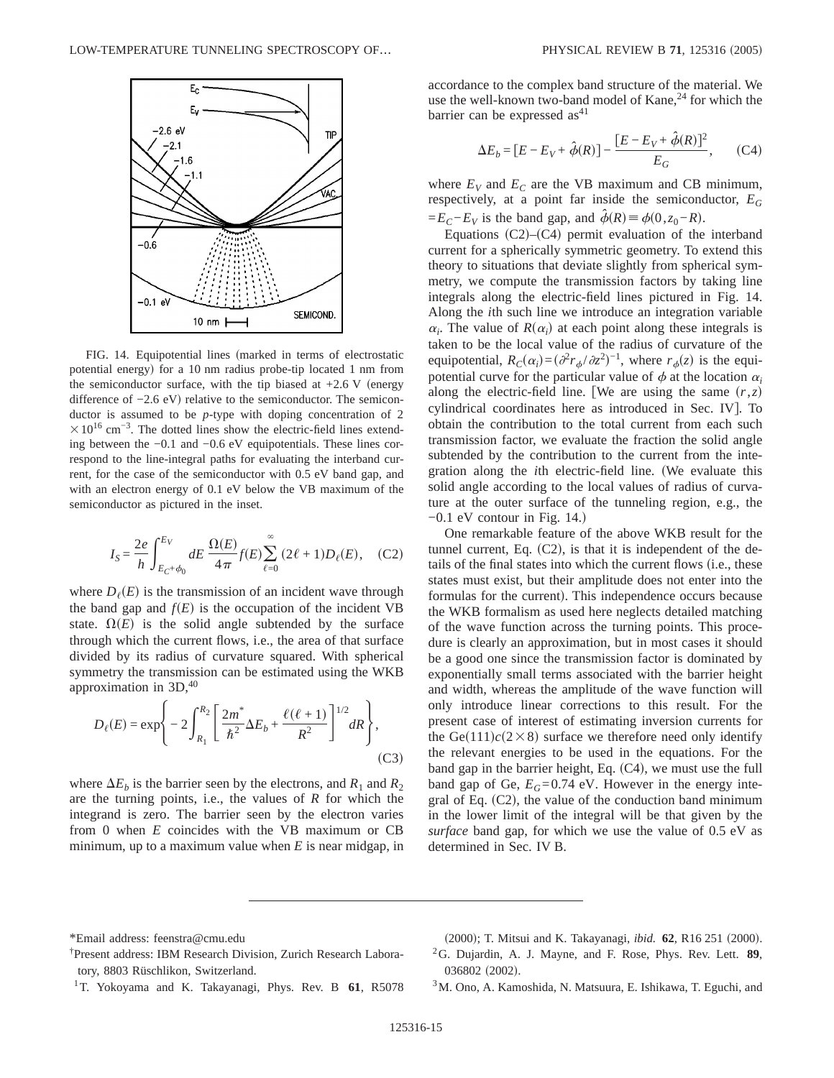

FIG. 14. Equipotential lines (marked in terms of electrostatic potential energy) for a 10 nm radius probe-tip located 1 nm from the semiconductor surface, with the tip biased at  $+2.6$  V (energy difference of  $-2.6$  eV) relative to the semiconductor. The semiconductor is assumed to be *p*-type with doping concentration of 2  $\times$ 10<sup>16</sup> cm<sup>-3</sup>. The dotted lines show the electric-field lines extending between the −0.1 and −0.6 eV equipotentials. These lines correspond to the line-integral paths for evaluating the interband current, for the case of the semiconductor with 0.5 eV band gap, and with an electron energy of 0.1 eV below the VB maximum of the semiconductor as pictured in the inset.

$$
I_S = \frac{2e}{h} \int_{E_C + \phi_0}^{E_V} dE \frac{\Omega(E)}{4\pi} f(E) \sum_{\ell=0}^{\infty} (2\ell + 1) D_{\ell}(E), \quad (C2)
$$

where  $D_{\ell}(E)$  is the transmission of an incident wave through the band gap and  $f(E)$  is the occupation of the incident VB state.  $\Omega(E)$  is the solid angle subtended by the surface through which the current flows, i.e., the area of that surface divided by its radius of curvature squared. With spherical symmetry the transmission can be estimated using the WKB approximation in  $3D,40$ 

$$
D_{\ell}(E) = \exp\left\{-2\int_{R_1}^{R_2} \left[\frac{2m^*}{\hbar^2} \Delta E_b + \frac{\ell(\ell+1)}{R^2}\right]^{1/2} dR\right\},\tag{C3}
$$

where  $\Delta E_b$  is the barrier seen by the electrons, and  $R_1$  and  $R_2$ are the turning points, i.e., the values of *R* for which the integrand is zero. The barrier seen by the electron varies from 0 when *E* coincides with the VB maximum or CB minimum, up to a maximum value when *E* is near midgap, in accordance to the complex band structure of the material. We use the well-known two-band model of Kane,  $24$  for which the barrier can be expressed as<sup>41</sup>

$$
\Delta E_b = [E - E_V + \hat{\phi}(R)] - \frac{[E - E_V + \hat{\phi}(R)]^2}{E_G}, \quad (C4)
$$

where  $E_V$  and  $E_C$  are the VB maximum and CB minimum, respectively, at a point far inside the semiconductor, *EG*  $=E_C-E_V$  is the band gap, and  $\hat{\phi}(R) \equiv \phi(0, z_0-R)$ .

Equations  $(C2)$ – $(C4)$  permit evaluation of the interband current for a spherically symmetric geometry. To extend this theory to situations that deviate slightly from spherical symmetry, we compute the transmission factors by taking line integrals along the electric-field lines pictured in Fig. 14. Along the *i*th such line we introduce an integration variable  $\alpha_i$ . The value of  $R(\alpha_i)$  at each point along these integrals is taken to be the local value of the radius of curvature of the equipotential,  $R_C(\alpha_i) = (\partial^2 r_{\phi}/\partial z^2)^{-1}$ , where  $r_{\phi}(z)$  is the equipotential curve for the particular value of  $\phi$  at the location  $\alpha_i$ along the electric-field line. [We are using the same  $(r, z)$ cylindrical coordinates here as introduced in Sec. IV. To obtain the contribution to the total current from each such transmission factor, we evaluate the fraction the solid angle subtended by the contribution to the current from the integration along the *i*th electric-field line. (We evaluate this solid angle according to the local values of radius of curvature at the outer surface of the tunneling region, e.g., the  $-0.1$  eV contour in Fig. 14.

One remarkable feature of the above WKB result for the tunnel current, Eq.  $(C2)$ , is that it is independent of the details of the final states into which the current flows (i.e., these states must exist, but their amplitude does not enter into the formulas for the current). This independence occurs because the WKB formalism as used here neglects detailed matching of the wave function across the turning points. This procedure is clearly an approximation, but in most cases it should be a good one since the transmission factor is dominated by exponentially small terms associated with the barrier height and width, whereas the amplitude of the wave function will only introduce linear corrections to this result. For the present case of interest of estimating inversion currents for the Ge $(111)c(2\times8)$  surface we therefore need only identify the relevant energies to be used in the equations. For the band gap in the barrier height, Eq.  $(C4)$ , we must use the full band gap of Ge,  $E_G$ =0.74 eV. However in the energy integral of Eq.  $(C2)$ , the value of the conduction band minimum in the lower limit of the integral will be that given by the *surface* band gap, for which we use the value of 0.5 eV as determined in Sec. IV B.

- † Present address: IBM Research Division, Zurich Research Laboratory, 8803 Rüschlikon, Switzerland.
- (2000); T. Mitsui and K. Takayanagi, *ibid.* **62**, R16 251 (2000).
- 2G. Dujardin, A. J. Mayne, and F. Rose, Phys. Rev. Lett. **89**, 036802 (2002).
- 1T. Yokoyama and K. Takayanagi, Phys. Rev. B **61**, R5078
- <sup>3</sup>M. Ono, A. Kamoshida, N. Matsuura, E. Ishikawa, T. Eguchi, and

<sup>\*</sup>Email address: feenstra@cmu.edu